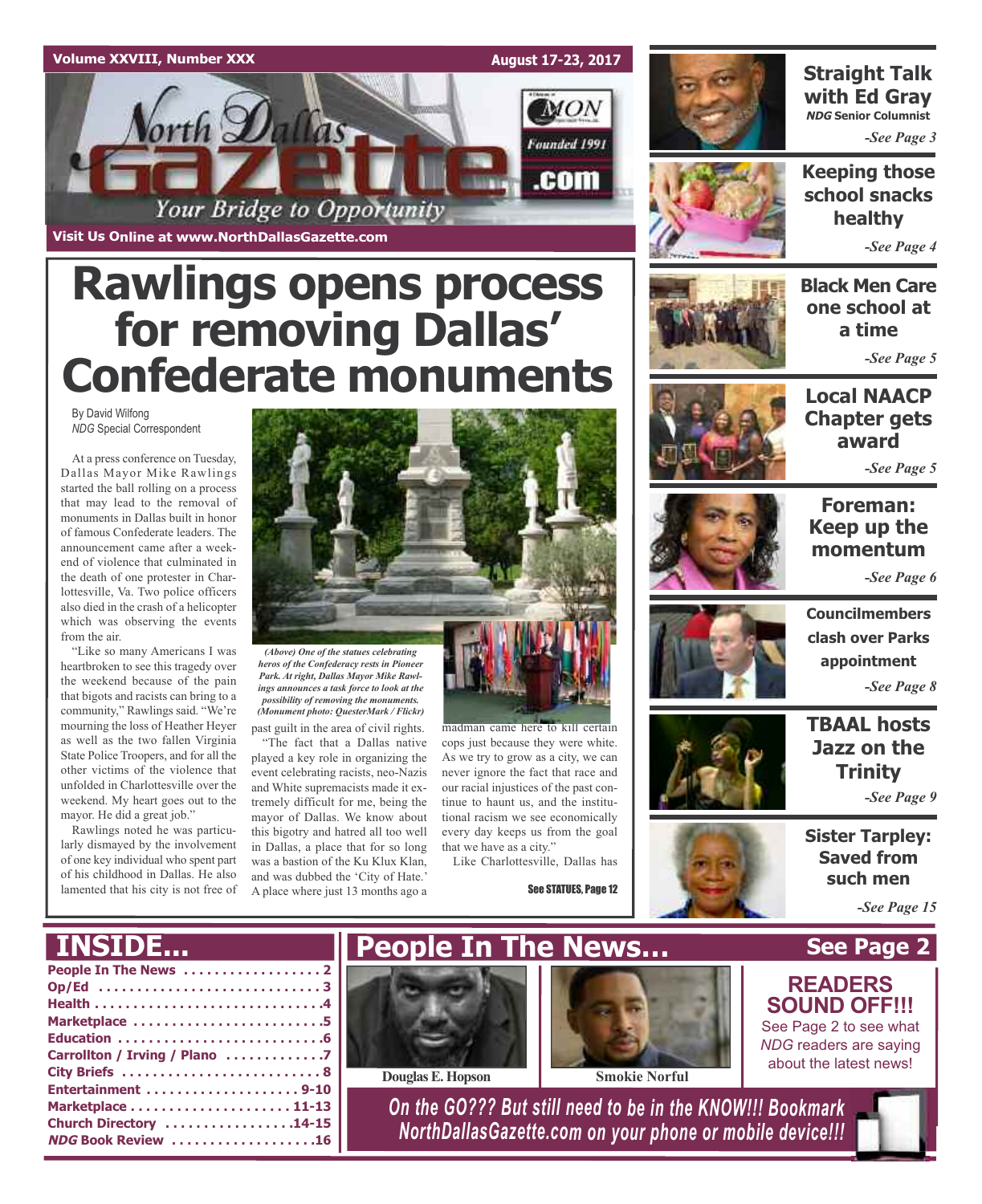

**Rawlings opens process for removing Dallas' Confederate monuments**

By David Wilfong *NDG* Special Correspondent

At a press conference on Tuesday, Dallas Mayor Mike Rawlings started the ball rolling on a process that may lead to the removal of monuments in Dallas built in honor of famous Confederate leaders. The announcement came after a weekend of violence that culminated in the death of one protester in Charlottesville, Va. Two police officers also died in the crash of a helicopter which was observing the events from the air.

"Like so many Americans I was heartbroken to see this tragedy over the weekend because of the pain that bigots and racists can bring to a community," Rawlings said. "We're mourning the loss of Heather Heyer as well as the two fallen Virginia State Police Troopers, and for all the other victims of the violence that unfolded in Charlottesville over the weekend. My heart goes out to the mayor. He did a great job."

Rawlings noted he was particularly dismayed by the involvement of one key individual who spent part of his childhood in Dallas. He also lamented that his city is not free of



past guilt in the area of civil rights. *(Above) One of the statues celebrating heros of the Confederacy rests in Pioneer Park. At right, Dallas Mayor Mike Rawlings announces a task force to look at the possibility of removing the monuments. (Monument photo: QuesterMark / Flickr)*

"The fact that a Dallas native played a key role in organizing the event celebrating racists, neo-Nazis and White supremacists made it extremely difficult for me, being the mayor of Dallas. We know about this bigotry and hatred all too well in Dallas, a place that for so long was a bastion of the Ku Klux Klan, and was dubbed the 'City of Hate.' A place where just 13 months ago a



madman came here to kill certain cops just because they were white. As we try to grow as a city, we can never ignore the fact that race and our racial injustices of the past continue to haunt us, and the institutional racism we see economically every day keeps us from the goal that we have as a city."

Like Charlottesville, Dallas has

See STATUES, Page 12



### **Straight Talk with Ed Gray NDG Senior Columnist**

*-See Page 3*

**Keeping those school snacks healthy**

*-See Page 4*

**Black Men Care one school at a time**

*-See Page 5*



*-See Page 5*

### **Foreman: Keep up the momentum**

*-See Page 6*



**Councilmembers clash over Parks appointment** *-See Page 8*

**TBAAL hosts Jazz on the Trinity**

*-See Page 9*

**Sister Tarpley: Saved from such men**

*-See Page 15*

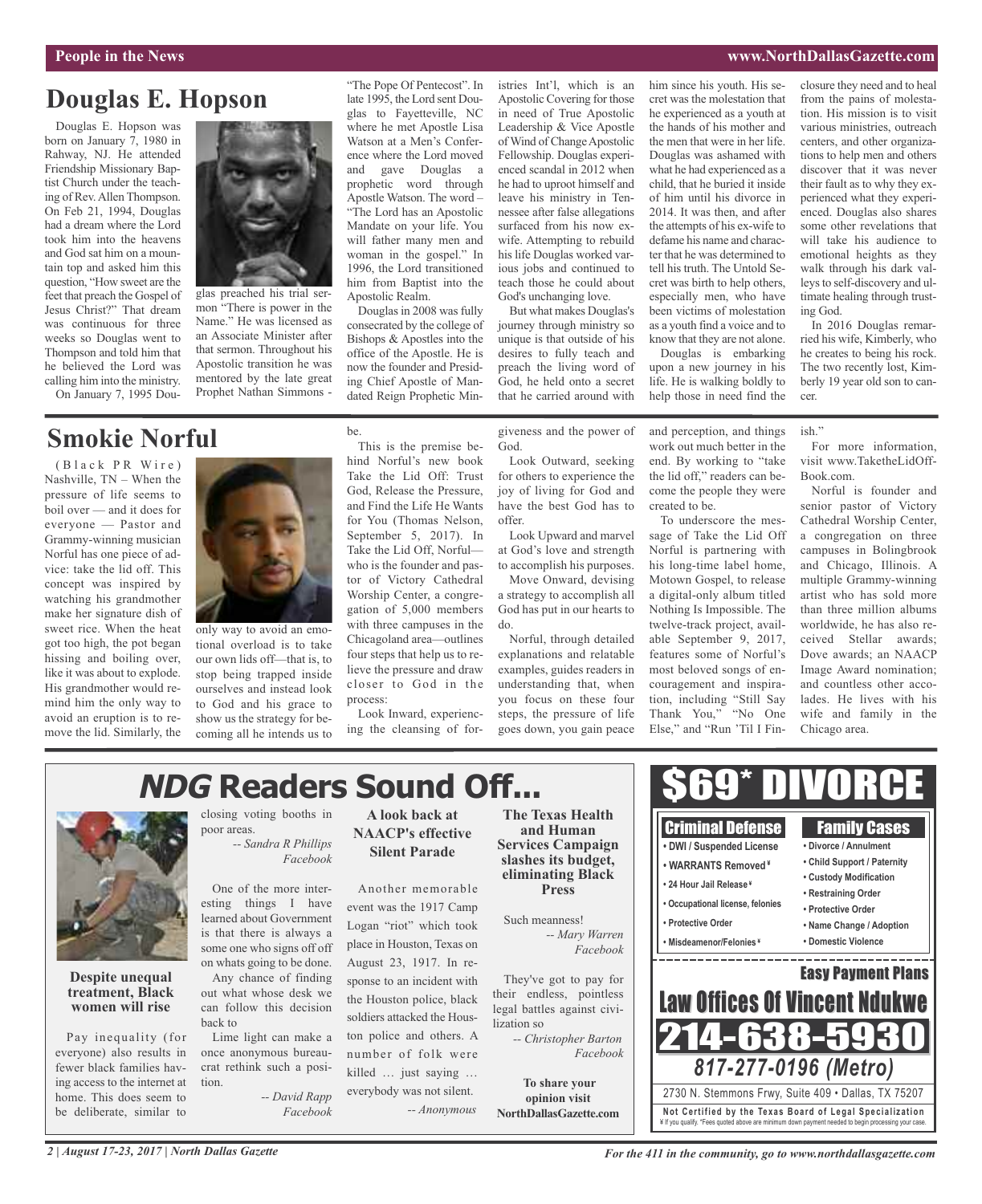### **People in the News www.NorthDallasGazette.com**

### **Douglas E. Hopson**

Douglas E. Hopson was born on January 7, 1980 in Rahway, NJ. He attended Friendship Missionary Baptist Church under the teaching of Rev.Allen Thompson. On Feb 21, 1994, Douglas had a dream where the Lord took him into the heavens and God sat him on a mountain top and asked him this question, "How sweet are the feet that preach the Gospel of Jesus Christ?" That dream was continuous for three weeks so Douglas went to Thompson and told him that he believed the Lord was calling him into the ministry. On January 7, 1995 Dou-



glas preached his trial sermon "There is power in the Name." He was licensed as an Associate Minister after that sermon. Throughout his Apostolic transition he was mentored by the late great Prophet Nathan Simmons -

## **Smokie Norful**

(Black PR Wire) Nashville, TN – When the pressure of life seems to boil over — and it does for everyone — Pastor and Grammy-winning musician Norful has one piece of advice: take the lid off. This concept was inspired by watching his grandmother make her signature dish of sweet rice. When the heat got too high, the pot began hissing and boiling over, like it was about to explode. His grandmother would remind him the only way to avoid an eruption is to remove the lid. Similarly, the



only way to avoid an emotional overload is to take our own lids off—that is, to stop being trapped inside ourselves and instead look to God and his grace to show us the strategy for becoming all he intends us to "The Pope Of Pentecost". In late 1995, the Lord sent Douglas to Fayetteville, NC where he met Apostle Lisa Watson at a Men's Conference where the Lord moved and gave Douglas a prophetic word through Apostle Watson. The word – "The Lord has an Apostolic Mandate on your life. You will father many men and woman in the gospel." In 1996, the Lord transitioned him from Baptist into the Apostolic Realm.

Douglas in 2008 was fully consecrated by the college of Bishops & Apostles into the office of the Apostle. He is now the founder and Presiding Chief Apostle of Mandated Reign Prophetic Min-

This is the premise behind Norful's new book Take the Lid Off: Trust God, Release the Pressure, and Find the Life He Wants for You (Thomas Nelson, September 5, 2017). In Take the Lid Off, Norful who is the founder and pastor of Victory Cathedral Worship Center, a congregation of 5,000 members with three campuses in the Chicagoland area—outlines four steps that help us to relieve the pressure and draw closer to God in the

be.

istries Int'l, which is an Apostolic Covering for those in need of True Apostolic Leadership & Vice Apostle of Wind of Change Apostolic Fellowship. Douglas experienced scandal in 2012 when he had to uproot himself and leave his ministry in Tennessee after false allegations surfaced from his now exwife. Attempting to rebuild his life Douglas worked various jobs and continued to teach those he could about God's unchanging love.

But what makes Douglas's journey through ministry so unique is that outside of his desires to fully teach and preach the living word of God, he held onto a secret that he carried around with

giveness and the power of God.

Look Outward, seeking for others to experience the joy of living for God and have the best God has to offer.

Look Upward and marvel at God's love and strength to accomplish his purposes.

Move Onward, devising a strategy to accomplish all God has put in our hearts to do.

Norful, through detailed explanations and relatable examples, guides readers in understanding that, when you focus on these four steps, the pressure of life goes down, you gain peace him since his youth. His secret was the molestation that he experienced as a youth at the hands of his mother and the men that were in her life. Douglas was ashamed with what he had experienced as a child, that he buried it inside of him until his divorce in 2014. It was then, and after the attempts of his ex-wife to defame his name and character that he was determined to tell his truth. The Untold Secret was birth to help others, especially men, who have been victims of molestation as a youth find a voice and to know that they are not alone.

Douglas is embarking upon a new journey in his life. He is walking boldly to help those in need find the

and perception, and things work out much better in the end. By working to "take the lid off," readers can become the people they were created to be.

To underscore the message of Take the Lid Off Norful is partnering with his long-time label home, Motown Gospel, to release a digital-only album titled Nothing Is Impossible. The twelve-track project, available September 9, 2017, features some of Norful's most beloved songs of encouragement and inspiration, including "Still Say Thank You," "No One Else," and "Run 'Til I Fin-

closure they need and to heal from the pains of molestation. His mission is to visit various ministries, outreach centers, and other organizations to help men and others discover that it was never their fault as to why they experienced what they experienced. Douglas also shares some other revelations that will take his audience to emotional heights as they walk through his dark valleys to self-discovery and ultimate healing through trusting God.

In 2016 Douglas remarried his wife, Kimberly, who he creates to being his rock. The two recently lost, Kimberly 19 year old son to cancer.

### ish."

For more information, visit www.TaketheLidOff-Book.com.

Norful is founder and senior pastor of Victory Cathedral Worship Center, a congregation on three campuses in Bolingbrook and Chicago, Illinois. A multiple Grammy-winning artist who has sold more than three million albums worldwide, he has also received Stellar awards; Dove awards; an NAACP Image Award nomination; and countless other accolades. He lives with his wife and family in the Chicago area.

# **NDG Readers Sound Off...**

process:



**Despite unequal treatment, Black women will rise**

Pay inequality (for everyone) also results in fewer black families having access to the internet at home. This does seem to be deliberate, similar to

closing voting booths in poor areas. *-- Sandra R Phillips*

*Facebook*

One of the more interesting things I have learned about Government is that there is always a some one who signs off off on whats going to be done.

Any chance of finding out what whose desk we can follow this decision back to

Lime light can make a once anonymous bureaucrat rethink such a position.

> *-- David Rapp Facebook*

**A look back at NAACP's effective Silent Parade**

Look Inward, experiencing the cleansing of for-

Another memorable event was the 1917 Camp Logan "riot" which took place in Houston, Texas on August 23, 1917. In response to an incident with the Houston police, black soldiers attacked the Houston police and others. A number of folk were killed … just saying … everybody was not silent. *-- Anonymous*

**The Texas Health and Human Services Campaign slashes its budget, eliminating Black Press**

Such meanness! *-- Mary Warren*

They've got to pay for their endless, pointless legal battles against civilization so

*-- Christopher Barton Facebook*

**To share your opinion visit NorthDallasGazette.com**



\$69\* DIVORCE

*For the 411 in the community, go to www.northdallasgazette.com*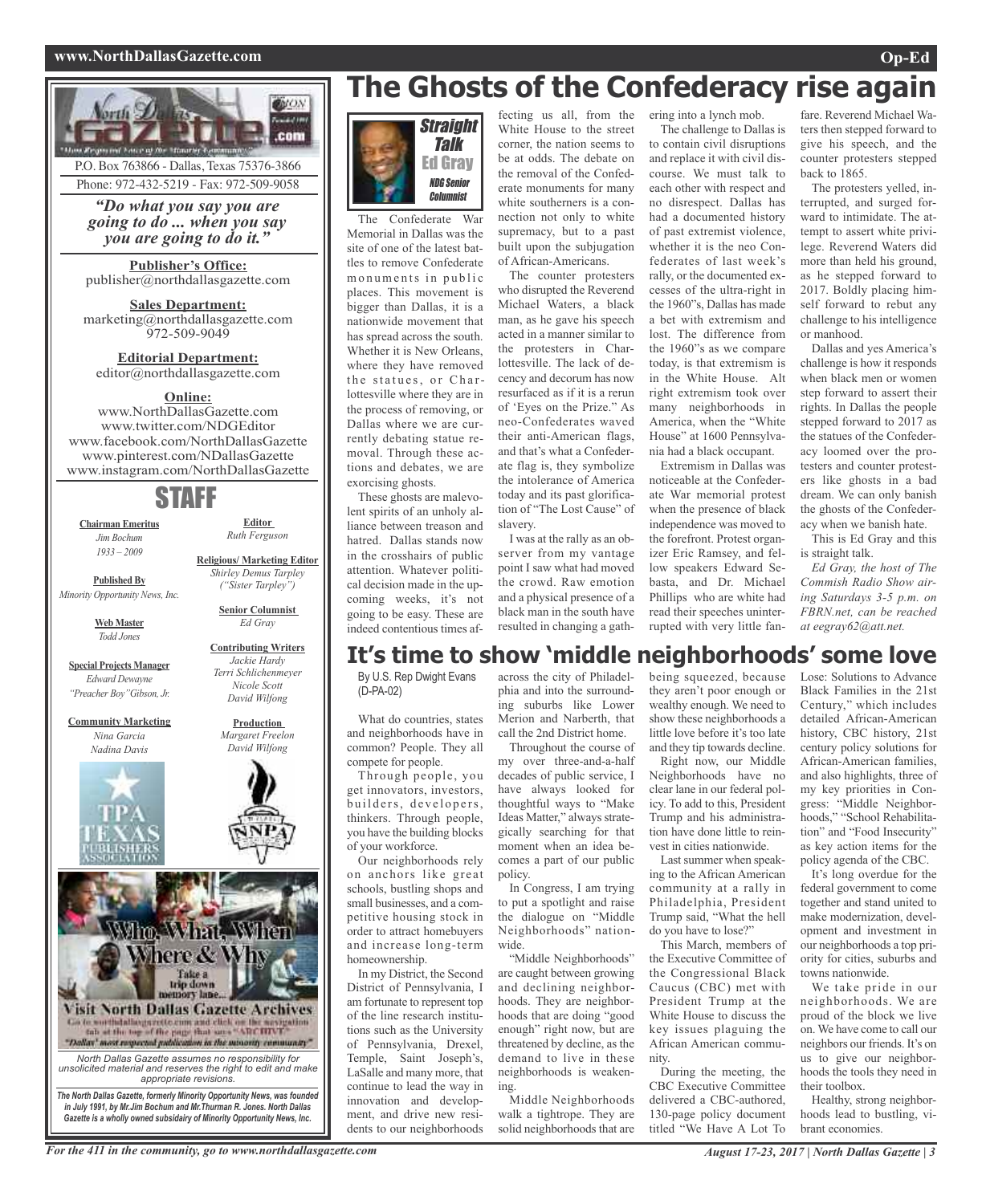### **www.NorthDallasGazette.com Op-Ed**



P.O. Box 763866 - Dallas, Texas 75376-3866 Phone: 972-432-5219 - Fax: 972-509-9058

*"Do what you say you are going to do ... when you say you are going to do it."*

**Publisher's Office:** publisher@northdallasgazette.com

**Sales Department:** marketing@northdallasgazette.com 972-509-9049

**Editorial Department:** editor@northdallasgazette.com

### **Online:**

www.NorthDallasGazette.com www.twitter.com/NDGEditor www.facebook.com/NorthDallasGazette www.pinterest.com/NDallasGazette www.instagram.com/NorthDallasGazette

### STAFF

**Chairman Emeritus** *Jim Bochum 1933 – 2009*

**Published By** *Minority Opportunity News, Inc.*

> **Web Master** *Todd Jones*

**Special Projects Manager** *Edward Dewayne "Preacher Boy"Gibson, Jr.*

**Community Marketing** *Nina Garcia Nadina Davis*



*Jackie Hardy Nicole Scott David Wilfong* **Production**

*Margaret Freelon David Wilfong*



# **The Ghosts of the Confederacy rise again**



The Confederate War Memorial in Dallas was the site of one of the latest battles to remove Confederate monuments in public places. This movement is bigger than Dallas, it is a nationwide movement that has spread across the south. Whether it is New Orleans, where they have removed the statues, or Charlottesville where they are in the process of removing, or Dallas where we are currently debating statue removal. Through these actions and debates, we are exorcising ghosts.

These ghosts are malevolent spirits of an unholy alliance between treason and hatred. Dallas stands now in the crosshairs of public attention. Whatever political decision made in the upcoming weeks, it's not going to be easy. These are indeed contentious times af-

fecting us all, from the White House to the street corner, the nation seems to be at odds. The debate on the removal of the Confederate monuments for many white southerners is a connection not only to white supremacy, but to a past built upon the subjugation of African-Americans.

The counter protesters who disrupted the Reverend Michael Waters, a black man, as he gave his speech acted in a manner similar to the protesters in Charlottesville. The lack of decency and decorum has now resurfaced as if it is a rerun of 'Eyes on the Prize." As neo-Confederates waved their anti-American flags, and that's what a Confederate flag is, they symbolize the intolerance of America today and its past glorification of "The Lost Cause" of slavery.

I was at the rally as an observer from my vantage point I saw what had moved the crowd. Raw emotion and a physical presence of a black man in the south have resulted in changing a gath-

ering into a lynch mob. The challenge to Dallas is

to contain civil disruptions and replace it with civil discourse. We must talk to each other with respect and no disrespect. Dallas has had a documented history of past extremist violence, whether it is the neo Confederates of last week's rally, or the documented excesses of the ultra-right in the 1960"s, Dallas has made a bet with extremism and lost. The difference from the 1960"s as we compare today, is that extremism is in the White House. Alt right extremism took over many neighborhoods in America, when the "White House" at 1600 Pennsylvania had a black occupant.

Extremism in Dallas was noticeable at the Confederate War memorial protest when the presence of black independence was moved to the forefront. Protest organizer Eric Ramsey, and fellow speakers Edward Sebasta, and Dr. Michael Phillips who are white had read their speeches uninterrupted with very little fan-

fare. Reverend Michael Waters then stepped forward to give his speech, and the counter protesters stepped back to 1865.

The protesters yelled, interrupted, and surged forward to intimidate. The attempt to assert white privilege. Reverend Waters did more than held his ground, as he stepped forward to 2017. Boldly placing himself forward to rebut any challenge to his intelligence or manhood.

Dallas and yes America's challenge is how it responds when black men or women step forward to assert their rights. In Dallas the people stepped forward to 2017 as the statues of the Confederacy loomed over the protesters and counter protesters like ghosts in a bad dream. We can only banish the ghosts of the Confederacy when we banish hate.

This is Ed Gray and this is straight talk.

*Ed Gray, the host of The Commish Radio Show airing Saturdays 3-5 p.m. on FBRN.net, can be reached at eegray62@att.net.*

### **It's time to show 'middle neighborhoods' some love**

By U.S. Rep Dwight Evans (D-PA-02)

What do countries, states and neighborhoods have in common? People. They all compete for people.

Through people, you get innovators, investors, builders, developers, thinkers. Through people, you have the building blocks of your workforce.

Our neighborhoods rely on anchors like great schools, bustling shops and small businesses, and a competitive housing stock in order to attract homebuyers and increase long-term homeownership.

In my District, the Second District of Pennsylvania, I am fortunate to represent top of the line research institutions such as the University of Pennsylvania, Drexel, Temple, Saint Joseph's, LaSalle and many more, that continue to lead the way in innovation and development, and drive new residents to our neighborhoods

across the city of Philadelphia and into the surrounding suburbs like Lower Merion and Narberth, that call the 2nd District home.

Throughout the course of my over three-and-a-half decades of public service, I have always looked for thoughtful ways to "Make Ideas Matter," always strategically searching for that moment when an idea becomes a part of our public policy.

In Congress, I am trying to put a spotlight and raise the dialogue on "Middle Neighborhoods" nationwide.

"Middle Neighborhoods" are caught between growing and declining neighborhoods. They are neighborhoods that are doing "good enough" right now, but are threatened by decline, as the demand to live in these neighborhoods is weakening.

Middle Neighborhoods walk a tightrope. They are solid neighborhoods that are being squeezed, because they aren't poor enough or wealthy enough. We need to show these neighborhoods a little love before it's too late and they tip towards decline.

Right now, our Middle Neighborhoods have no clear lane in our federal policy. To add to this, President Trump and his administration have done little to reinvest in cities nationwide.

Last summer when speaking to the African American community at a rally in Philadelphia, President Trump said, "What the hell do you have to lose?"

This March, members of the Executive Committee of the Congressional Black Caucus (CBC) met with President Trump at the White House to discuss the key issues plaguing the African American community.

During the meeting, the CBC Executive Committee delivered a CBC-authored, 130-page policy document titled "We Have A Lot To Lose: Solutions to Advance Black Families in the 21st Century," which includes detailed African-American history, CBC history, 21st century policy solutions for African-American families, and also highlights, three of my key priorities in Congress: "Middle Neighborhoods," "School Rehabilitation" and "Food Insecurity" as key action items for the policy agenda of the CBC.

It's long overdue for the federal government to come together and stand united to make modernization, development and investment in our neighborhoods a top priority for cities, suburbs and towns nationwide.

We take pride in our neighborhoods. We are proud of the block we live on. We have come to call our neighbors our friends. It's on us to give our neighborhoods the tools they need in their toolbox.

Healthy, strong neighborhoods lead to bustling, vibrant economies.

For the 411 in the community, go to www.northdallasgazette.com August 17-23, 2017 North Dallas Gazette | 3



**Editor** *Ruth Ferguson*

**Religious/ Marketing Editor** *Shirley Demus Tarpley*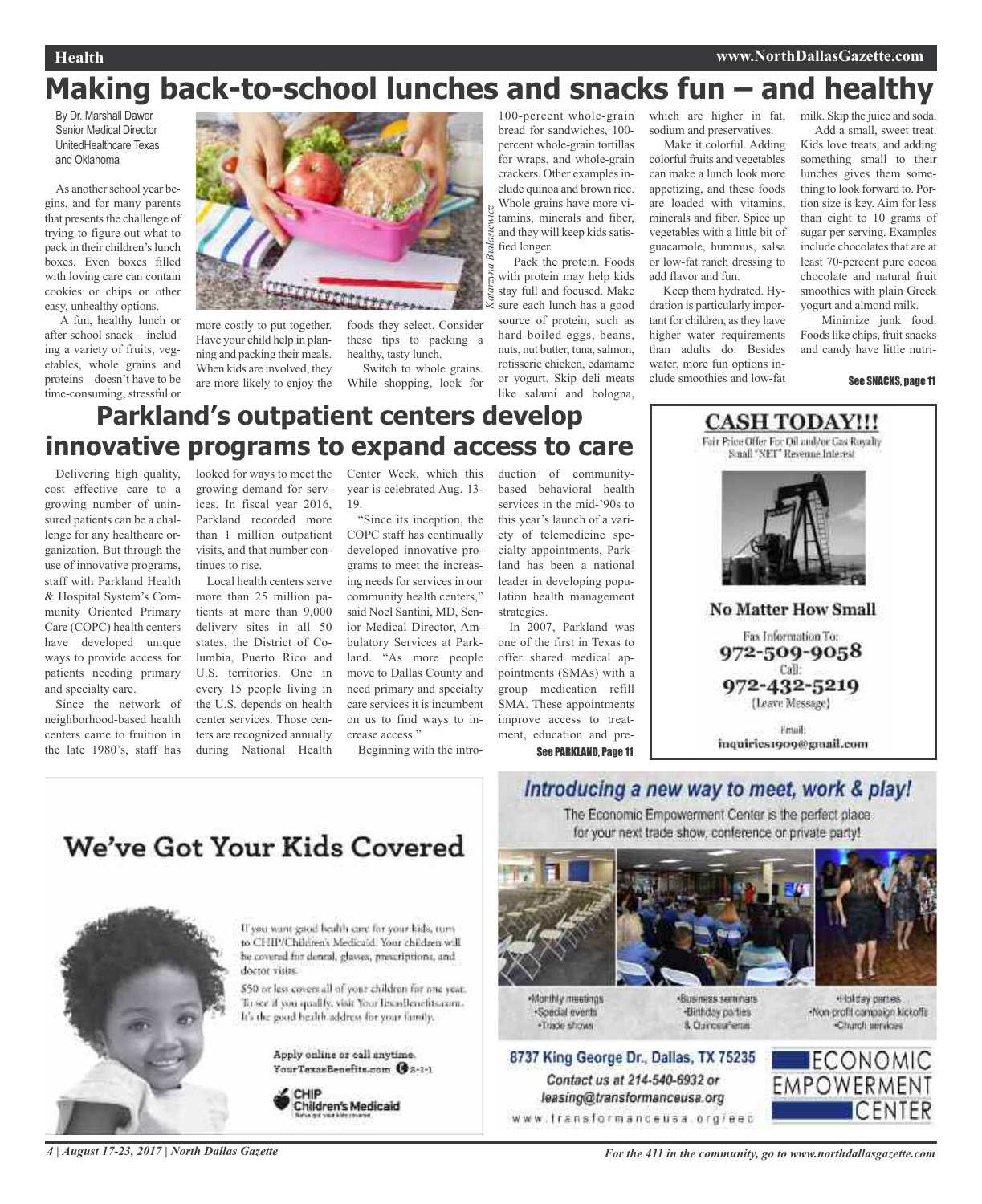### **Health www.NorthDallasGazette.com**

# **Making back-to-school lunches and snacks fun – and healthy**

*Katarzyna Bialasiewicz*

By Dr. Marshall Dawer Senior Medical Director UnitedHealthcare Texas and Oklahoma

As another school year begins, and for many parents that presents the challenge of trying to figure out what to pack in their children's lunch boxes. Even boxes filled with loving care can contain cookies or chips or other easy, unhealthy options.

A fun, healthy lunch or after-school snack – including a variety of fruits, vegetables, whole grains and proteins – doesn't have to be time-consuming, stressful or



more costly to put together. Have your child help in planning and packing their meals. When kids are involved, they are more likely to enjoy the

foods they select. Consider these tips to packing a healthy, tasty lunch.

Switch to whole grains. While shopping, look for

100-percent whole-grain bread for sandwiches, 100 percent whole-grain tortillas for wraps, and whole-grain crackers. Other examples include quinoa and brown rice. Whole grains have more vitamins, minerals and fiber, and they will keep kids satisfied longer.

Pack the protein. Foods with protein may help kids stay full and focused. Make sure each lunch has a good source of protein, such as hard-boiled eggs, beans, nuts, nut butter, tuna, salmon, rotisserie chicken, edamame or yogurt. Skip deli meats like salami and bologna,

which are higher in fat, sodium and preservatives.

Make it colorful. Adding colorful fruits and vegetables can make a lunch look more appetizing, and these foods are loaded with vitamins, minerals and fiber. Spice up vegetables with a little bit of guacamole, hummus, salsa or low-fat ranch dressing to add flavor and fun.

Keep them hydrated. Hydration is particularly important for children, asthey have higher water requirements than adults do. Besides water, more fun options include smoothies and low-fat

milk. Skip the juice and soda. Add a small, sweet treat.

Kids love treats, and adding something small to their lunches gives them something to look forward to. Portion size is key. Aim for less than eight to 10 grams of sugar per serving. Examples include chocolates that are at least 70-percent pure cocoa chocolate and natural fruit smoothies with plain Greek yogurt and almond milk.

Minimize junk food. Foods like chips, fruit snacks and candy have little nutri-

#### See SNACKS, page 11

# **Parkland's outpatient centers develop innovative programs to expand access to care**

Delivering high quality, cost effective care to a growing number of uninsured patients can be a challenge for any healthcare organization. But through the use of innovative programs, staff with Parkland Health & Hospital System's Community Oriented Primary Care (COPC) health centers have developed unique ways to provide access for patients needing primary and specialty care.

Since the network of neighborhood-based health centers came to fruition in the late 1980's, staff has

looked for ways to meet the Center Week, which this growing demand for services. In fiscal year 2016, Parkland recorded more than 1 million outpatient visits, and that number continues to rise.

Local health centers serve more than 25 million patients at more than 9,000 delivery sites in all 50 states, the District of Columbia, Puerto Rico and U.S. territories. One in every 15 people living in the U.S. depends on health center services. Those centers are recognized annually during National Health

year is celebrated Aug. 13- 19.

"Since its inception, the COPC staff has continually developed innovative programs to meet the increasing needs for services in our community health centers," said Noel Santini, MD, Senior Medical Director, Ambulatory Services at Parkland. "As more people move to Dallas County and need primary and specialty care services it is incumbent on us to find ways to increase access."

Beginning with the intro-

duction of communitybased behavioral health services in the mid-'90s to this year's launch of a variety of telemedicine specialty appointments, Parkland has been a national leader in developing population health management strategies.

In 2007, Parkland was one of the first in Texas to offer shared medical appointments (SMAs) with a group medication refill SMA. These appointments improve access to treatment, education and pre-

See PARKLAND, Page 11



inquiries1909@gmail.com

# We've Got Your Kids Covered



If you want good health care for your kids, turn to CHIP/Children's Medicaid. Your children will he covered for dental, glasses, prescriptions, and doctor visits.

\$50 or less covers all of your children for one year. To see if you qualify, visit Your TexasBenefits com-It's the good bealth address for your family.

> Apply online or call anytime. YourTexasBenefits.com @8-1-1



### Introducing a new way to meet, work & play! The Economic Empowerment Center is the perfect place

for your next trade show, conference or private party!







Monthly meetings ·Special events ·Trade shows

-Business seminars ·Birthday parties 8. Curicea Tenas



### 8737 King George Dr., Dallas, TX 75235 Contact us at 214-540-6932 or leasing@transformanceusa.org

www.transformanceusa.org/eec

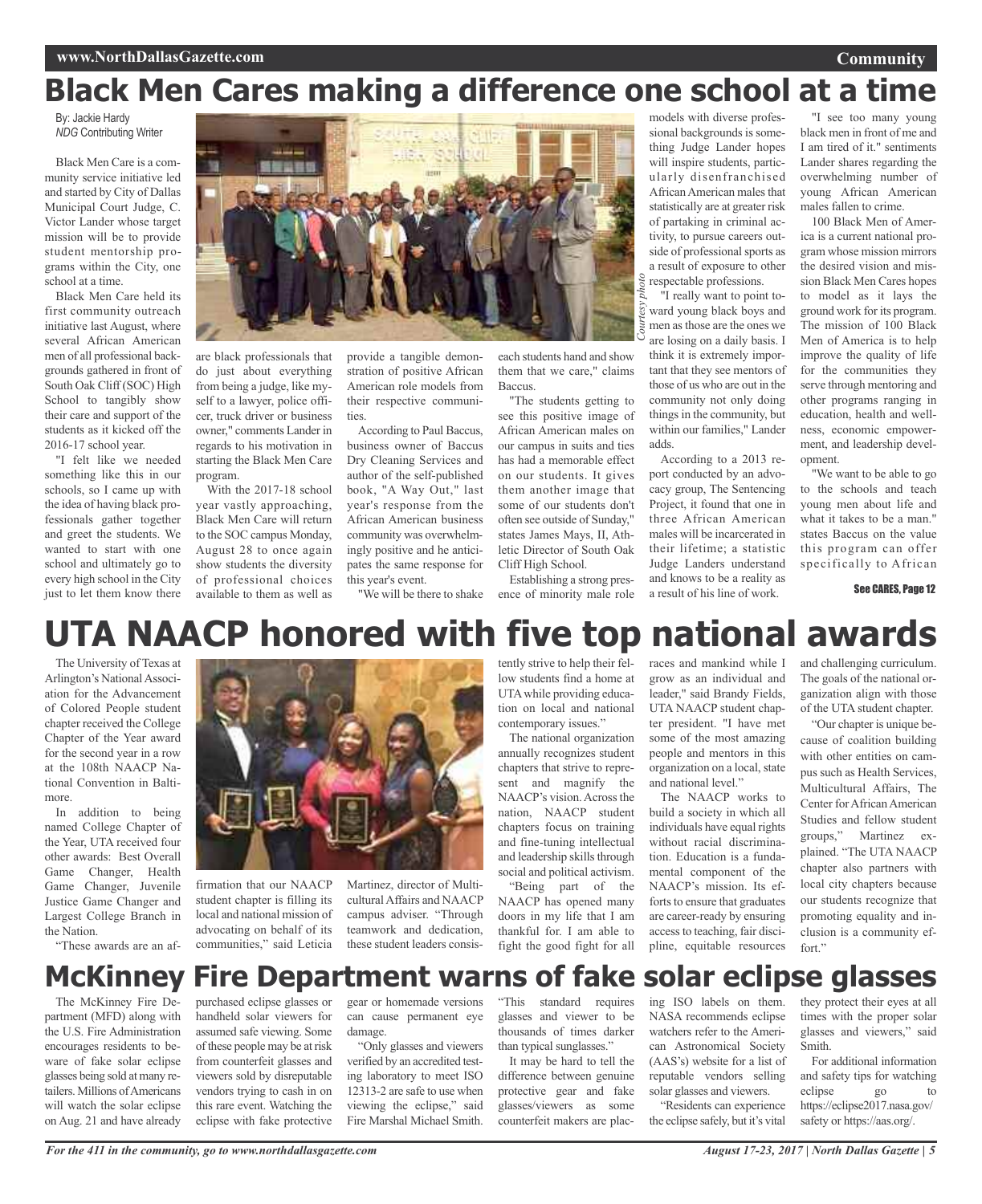### **Community**

# **Black Men Cares making a difference one school at a time**

By: Jackie Hardy *NDG* Contributing Writer

Black Men Care is a community service initiative led and started by City of Dallas Municipal Court Judge, C. Victor Lander whose target mission will be to provide student mentorship programs within the City, one school at a time.

Black Men Care held its first community outreach initiative last August, where several African American men of all professional backgrounds gathered in front of South Oak Cliff (SOC) High School to tangibly show their care and support of the students as it kicked off the 2016-17 school year.

"I felt like we needed something like this in our schools, so I came up with the idea of having black professionals gather together and greet the students. We wanted to start with one school and ultimately go to every high school in the City just to let them know there



are black professionals that do just about everything from being a judge, like myself to a lawyer, police officer, truck driver or business owner," comments Lander in regards to his motivation in starting the Black Men Care program.

With the 2017-18 school year vastly approaching, Black Men Care will return to the SOC campus Monday, August 28 to once again show students the diversity of professional choices available to them as well as

provide a tangible demonstration of positive African American role models from their respective communities.

According to Paul Baccus, business owner of Baccus Dry Cleaning Services and author of the self-published book, "A Way Out," last year's response from the African American business community was overwhelmingly positive and he anticipates the same response for this year's event.

"We will be there to shake

each students hand and show them that we care," claims Baccus.

"The students getting to see this positive image of African American males on our campus in suits and ties has had a memorable effect on our students. It gives them another image that some of our students don't often see outside of Sunday," states James Mays, II, Athletic Director of South Oak Cliff High School.

Establishing a strong presence of minority male role

models with diverse professional backgrounds is something Judge Lander hopes will inspire students, particularly disenfranchised African American males that statistically are at greater risk of partaking in criminal activity, to pursue careers outside of professional sports as a result of exposure to other respectable professions.

"I really want to point toward young black boys and<br>  $\frac{1}{5}$  men as those are the ones we<br>  $\frac{1}{5}$  are losing on a doily bosis I men asthose are the ones we are losing on a daily basis. I think it is extremely important that they see mentors of those of us who are out in the community not only doing things in the community, but within our families," Lander adds.

According to a 2013 report conducted by an advocacy group, The Sentencing Project, it found that one in three African American males will be incarcerated in their lifetime; a statistic Judge Landers understand and knows to be a reality as a result of his line of work.

"I see too many young black men in front of me and I am tired of it." sentiments Lander shares regarding the overwhelming number of young African American males fallen to crime.

100 Black Men of America is a current national program whose mission mirrors the desired vision and mission Black Men Cares hopes to model as it lays the ground work for its program. The mission of 100 Black Men of America is to help improve the quality of life for the communities they serve through mentoring and other programs ranging in education, health and wellness, economic empowerment, and leadership development.

"We want to be able to go to the schools and teach young men about life and what it takes to be a man." states Baccus on the value this program can offer specifically to African

See CARES, Page 12

# **UTA NAACP honored with five top national awards**

The University of Texas at Arlington's National Association for the Advancement of Colored People student chapter received the College Chapter of the Year award for the second year in a row at the 108th NAACP National Convention in Baltimore.

In addition to being named College Chapter of the Year, UTA received four other awards: Best Overall Game Changer, Health Game Changer, Juvenile Justice Game Changer and Largest College Branch in the Nation.

"These awards are an af-



firmation that our NAACP student chapter is filling its local and national mission of advocating on behalf of its communities," said Leticia

Martinez, director of MulticulturalAffairs and NAACP campus adviser. "Through teamwork and dedication, these student leaders consistently strive to help their fellow students find a home at UTAwhile providing education on local and national contemporary issues."

The national organization annually recognizes student chapters that strive to represent and magnify the NAACP's vision. Across the nation, NAACP student chapters focus on training and fine-tuning intellectual and leadership skills through social and political activism. "Being part of the

NAACP has opened many doors in my life that I am thankful for. I am able to fight the good fight for all

races and mankind while I grow as an individual and leader," said Brandy Fields, UTA NAACP student chapter president. "I have met some of the most amazing people and mentors in this organization on a local, state and national level."

The NAACP works to build a society in which all individuals have equal rights without racial discrimination. Education is a fundamental component of the NAACP's mission. Its efforts to ensure that graduates are career-ready by ensuring accessto teaching, fair discipline, equitable resources

and challenging curriculum. The goals of the national organization align with those of the UTA student chapter.

"Our chapter is unique because of coalition building with other entities on campus such as Health Services, Multicultural Affairs, The Center for African American Studies and fellow student groups," Martinez explained. "The UTA NAACP chapter also partners with local city chapters because our students recognize that promoting equality and inclusion is a community effort"

## **McKinney Fire Department warns of fake solar eclipse glasses**

The McKinney Fire Department (MFD) along with the U.S. Fire Administration encourages residents to beware of fake solar eclipse glasses being sold at many retailers. Millions of Americans will watch the solar eclipse on Aug. 21 and have already

purchased eclipse glasses or handheld solar viewers for assumed safe viewing. Some ofthese people may be atrisk from counterfeit glasses and viewers sold by disreputable vendors trying to cash in on this rare event. Watching the eclipse with fake protective

gear or homemade versions can cause permanent eye damage.

"Only glasses and viewers verified by an accredited testing laboratory to meet ISO 12313-2 are safe to use when viewing the eclipse," said Fire Marshal Michael Smith.

"This standard requires glasses and viewer to be thousands of times darker than typical sunglasses."

It may be hard to tell the difference between genuine protective gear and fake glasses/viewers as some counterfeit makers are placing ISO labels on them. NASA recommends eclipse watchers refer to the American Astronomical Society (AAS's) website for a list of reputable vendors selling solar glasses and viewers. "Residents can experience

the eclipse safely, but it's vital

they protect their eyes at all times with the proper solar glasses and viewers," said Smith.

For additional information and safety tips for watching eclipse go https://eclipse2017.nasa.gov/ safety or https://aas.org/.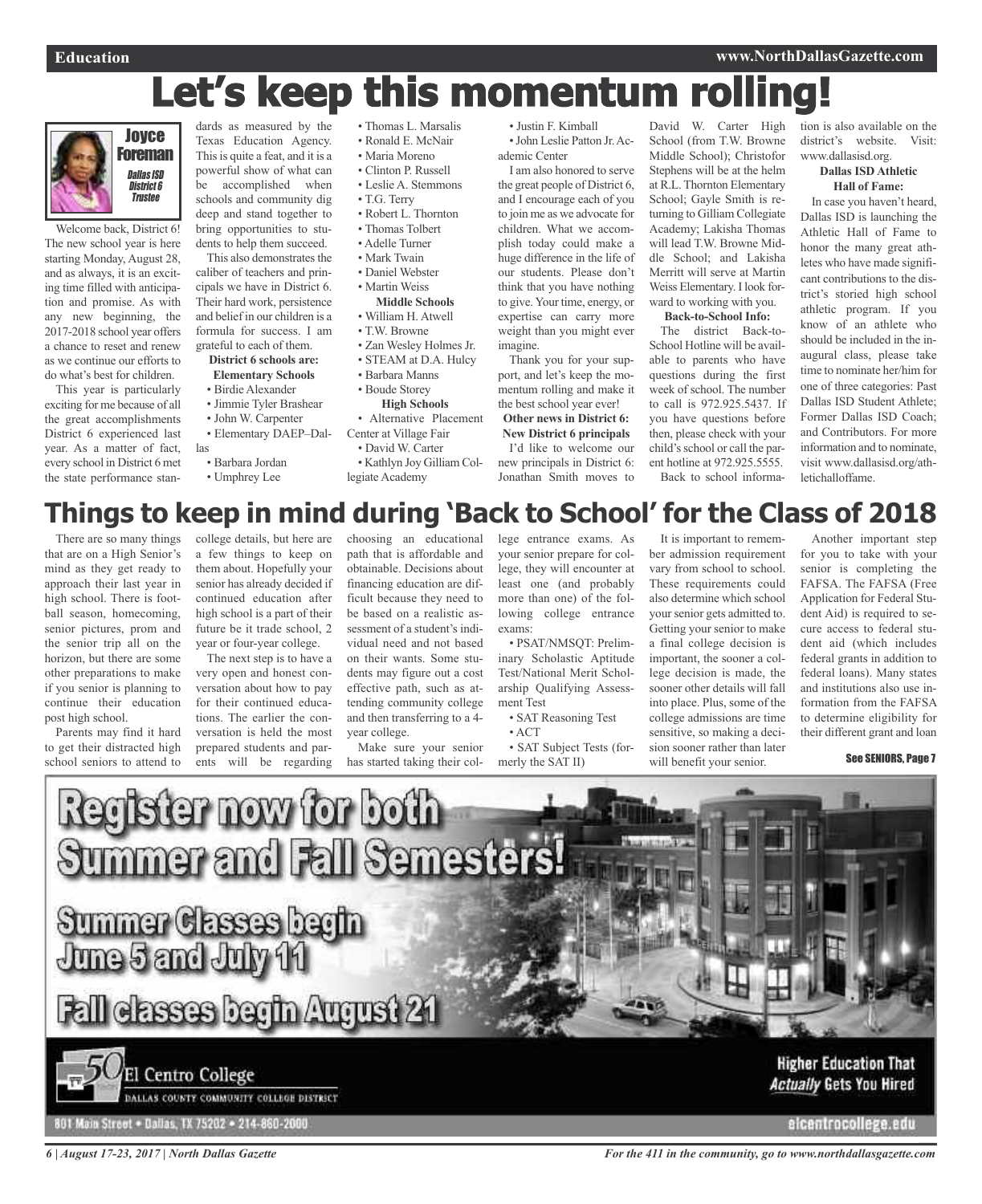# Let's keep this momentum rollin



Welcome back, District 6! The new school year is here starting Monday, August 28, and as always, it is an exciting time filled with anticipation and promise. As with any new beginning, the 2017-2018 school year offers a chance to reset and renew as we continue our efforts to do what's best for children.

This year is particularly exciting for me because of all the great accomplishments District 6 experienced last year. As a matter of fact, every school in District 6 met the state performance stan-

dards as measured by the Texas Education Agency. This is quite a feat, and it is a powerful show of what can be accomplished when schools and community dig deep and stand together to bring opportunities to students to help them succeed.

This also demonstrates the caliber of teachers and principals we have in District 6. Their hard work, persistence and belief in our children is a formula for success. I am grateful to each of them.

#### **District 6 schools are: Elementary Schools**

- Birdie Alexander
- Jimmie Tyler Brashear
- John W. Carpenter
- Elementary DAEP–Dal-
- las
- Barbara Jordan
- Umphrey Lee
- Thomas L. Marsalis
- Ronald E. McNair
- Maria Moreno
- Clinton P. Russell
- Leslie A. Stemmons
- T.G. Terry
- Robert L. Thornton
- Thomas Tolbert • Adelle Turner
- 
- Mark Twain
- Daniel Webster
- Martin Weiss

### **Middle Schools**

- William H. Atwell
- T.W. Browne
- Zan Wesley Holmes Jr.
- STEAM at D.A. Hulcy • Barbara Manns
- 
- Boude Storey **High Schools**
- Alternative Placement

Center at Village Fair • David W. Carter

• Kathlyn Joy Gilliam Collegiate Academy

• Justin F. Kimball •John Leslie Patton Jr.Ac-

ademic Center I am also honored to serve

the great people of District 6, and I encourage each of you to join me as we advocate for children. What we accomplish today could make a huge difference in the life of our students. Please don't think that you have nothing to give.Your time, energy, or expertise can carry more weight than you might ever imagine.

Thank you for your support, and let's keep the momentum rolling and make it the best school year ever!

**Other news in District 6: New District 6 principals** I'd like to welcome our new principals in District 6: Jonathan Smith moves to

David W. Carter High School (from T.W. Browne Middle School); Christofor Stephens will be at the helm at R.L. Thornton Elementary School; Gayle Smith is returning to Gilliam Collegiate Academy; Lakisha Thomas will lead T.W. Browne Middle School; and Lakisha Merritt will serve at Martin Weiss Elementary. I look forward to working with you. **Back-to-School Info:** The district Back-to-

School Hotline will be available to parents who have questions during the first week of school. The number to call is 972.925.5437. If you have questions before then, please check with your child's school or call the parent hotline at 972.925.5555. Back to school information is also available on the district's website. Visit: www.dallasisd.org.

#### **Dallas ISD Athletic Hall of Fame:**

In case you haven't heard, Dallas ISD is launching the Athletic Hall of Fame to honor the many great athletes who have made significant contributions to the district's storied high school athletic program. If you know of an athlete who should be included in the inaugural class, please take time to nominate her/him for one of three categories: Past Dallas ISD Student Athlete; Former Dallas ISD Coach; and Contributors. For more information and to nominate, visit www.dallasisd.org/athletichalloffame.

## **Things to keep in mind during 'Back to School' for the Class of 2018**

There are so many things that are on a High Senior's mind as they get ready to approach their last year in high school. There is football season, homecoming, senior pictures, prom and the senior trip all on the horizon, but there are some other preparations to make if you senior is planning to continue their education post high school.

Parents may find it hard to get their distracted high school seniors to attend to

college details, but here are a few things to keep on them about. Hopefully your senior has already decided if continued education after high school is a part of their future be it trade school, 2 year or four-year college.

The next step is to have a very open and honest conversation about how to pay for their continued educations. The earlier the conversation is held the most prepared students and parents will be regarding

choosing an educational path that is affordable and obtainable. Decisions about financing education are difficult because they need to be based on a realistic assessment of a student's individual need and not based on their wants. Some students may figure out a cost effective path, such as attending community college and then transferring to a 4 year college.

Make sure your senior has started taking their college entrance exams. As your senior prepare for college, they will encounter at least one (and probably more than one) of the following college entrance exams:

inary Scholastic Aptitude Test/National Merit Scholarship Qualifying Assessment Test

• SAT Subject Tests (for-

These requirements could also determine which school your senior gets admitted to. Getting your senior to make a final college decision is important, the sooner a college decision is made, the sooner other details will fall into place. Plus, some of the college admissions are time sensitive, so making a decision sooner rather than later

will benefit your senior.

Another important step for you to take with your senior is completing the FAFSA. The FAFSA (Free Application for Federal Student Aid) is required to secure access to federal student aid (which includes federal grants in addition to federal loans). Many states and institutions also use information from the FAFSA to determine eligibility for their different grant and loan

### See SENIORS, Page 7



**Higher Education That Actually Gets You Hired** 

elcentrocollege.edu

*6 | August 17-23, 2017 | North Dallas Gazette*

801 Main Street . Dallas, TX 75202 . 214-860-2000

DALLAS COUNTY COMMUNITY COLLEGE DISTRICT

*For the 411 in the community, go to www.northdallasgazette.com*

• PSAT/NMSQT: Prelim-

• SAT Reasoning Test

• ACT

merly the SAT II)

It is important to remember admission requirement vary from school to school.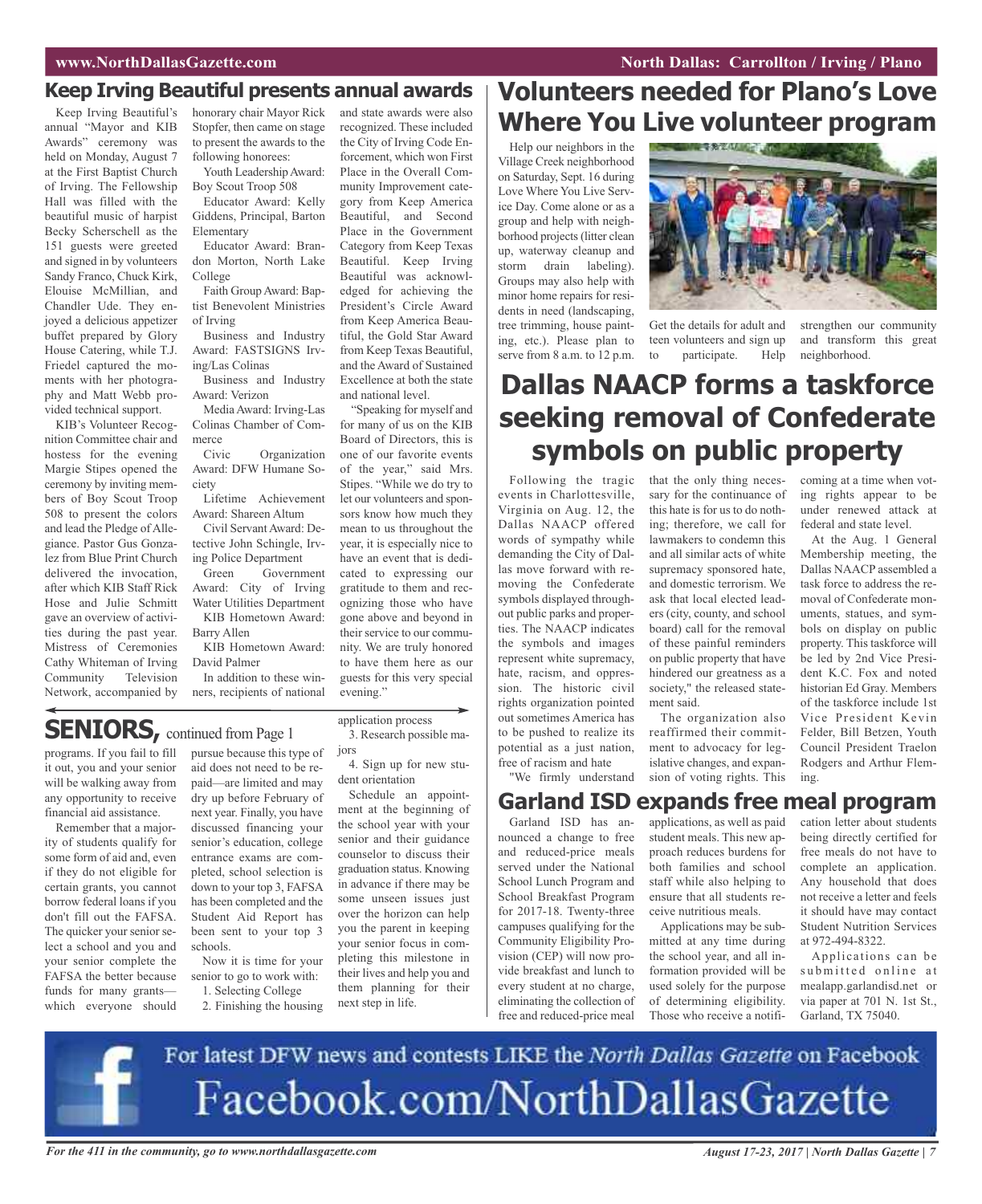### **Keep Irving Beautiful presents annual awards**

Keep Irving Beautiful's annual "Mayor and KIB Awards" ceremony was held on Monday, August 7 at the First Baptist Church of Irving. The Fellowship Hall was filled with the beautiful music of harpist Becky Scherschell as the 151 guests were greeted and signed in by volunteers Sandy Franco, Chuck Kirk, Elouise McMillian, and Chandler Ude. They enjoyed a delicious appetizer buffet prepared by Glory House Catering, while T.J. Friedel captured the moments with her photography and Matt Webb provided technical support.

KIB's Volunteer Recognition Committee chair and hostess for the evening Margie Stipes opened the ceremony by inviting members of Boy Scout Troop 508 to present the colors and lead the Pledge of Allegiance. Pastor Gus Gonzalez from Blue Print Church delivered the invocation, after which KIB Staff Rick Hose and Julie Schmitt gave an overview of activities during the past year. Mistress of Ceremonies Cathy Whiteman of Irving Community Television Network, accompanied by

honorary chair Mayor Rick Stopfer, then came on stage to present the awards to the following honorees:

Youth Leadership Award: Boy Scout Troop 508

Educator Award: Kelly Giddens, Principal, Barton Elementary

Educator Award: Brandon Morton, North Lake College

Faith GroupAward: Baptist Benevolent Ministries of Irving

Business and Industry Award: FASTSIGNS Irving/Las Colinas

Business and Industry Award: Verizon

MediaAward: Irving-Las Colinas Chamber of Commerce

Civic Organization Award: DFW Humane Society

Lifetime Achievement Award: Shareen Altum

Civil ServantAward: Detective John Schingle, Irving Police Department

Green Government Award: City of Irving Water Utilities Department KIB Hometown Award:

Barry Allen KIB Hometown Award:

David Palmer

In addition to these winners, recipients of national

and state awards were also recognized. These included the City of Irving Code Enforcement, which won First Place in the Overall Community Improvement category from Keep America Beautiful, and Second Place in the Government Category from Keep Texas Beautiful. Keep Irving Beautiful was acknowledged for achieving the President's Circle Award from Keep America Beautiful, the Gold Star Award from Keep Texas Beautiful, and the Award of Sustained Excellence at both the state and national level.

"Speaking for myself and for many of us on the KIB Board of Directors, this is one of our favorite events of the year," said Mrs. Stipes. "While we do try to let our volunteers and sponsors know how much they mean to us throughout the year, it is especially nice to have an event that is dedicated to expressing our gratitude to them and recognizing those who have gone above and beyond in their service to our community. We are truly honored to have them here as our guests for this very special evening."

### **SENIORS**, continued from Page 1

programs. If you fail to fill it out, you and your senior will be walking away from any opportunity to receive financial aid assistance.

Remember that a majority of students qualify for some form of aid and, even if they do not eligible for certain grants, you cannot borrow federal loans if you don't fill out the FAFSA. The quicker your senior select a school and you and your senior complete the FAFSA the better because funds for many grants which everyone should

pursue because this type of aid does not need to be repaid—are limited and may dry up before February of next year. Finally, you have discussed financing your senior's education, college entrance exams are completed, school selection is down to your top 3, FAFSA has been completed and the Student Aid Report has been sent to your top 3 schools. Now it is time for your

senior to go to work with: 1. Selecting College

2. Finishing the housing

application process 3. Research possible ma-

jors 4. Sign up for new student orientation

Schedule an appointment at the beginning of the school year with your senior and their guidance counselor to discuss their graduation status. Knowing in advance if there may be some unseen issues just over the horizon can help you the parent in keeping your senior focus in completing this milestone in their lives and help you and them planning for their next step in life.

# **Volunteers needed for Plano's Love Where You Live volunteer program**

Help our neighbors in the Village Creek neighborhood on Saturday, Sept. 16 during Love Where You Live Service Day. Come alone or as a group and help with neighborhood projects(litter clean up, waterway cleanup and storm drain labeling). Groups may also help with minor home repairs for residents in need (landscaping, tree trimming, house painting, etc.). Please plan to serve from 8 a.m. to 12 p.m.



Get the details for adult and teen volunteers and sign up<br>to participate. Help to participate.

strengthen our community and transform this great neighborhood.

## **Dallas NAACP forms a taskforce seeking removal of Confederate symbols on public property**

Following the tragic that the only thing necesevents in Charlottesville, Virginia on Aug. 12, the Dallas NAACP offered words of sympathy while demanding the City of Dallas move forward with removing the Confederate symbols displayed throughout public parks and properties. The NAACP indicates the symbols and images represent white supremacy, hate, racism, and oppression. The historic civil rights organization pointed out sometimes America has to be pushed to realize its potential as a just nation, free of racism and hate

sary for the continuance of this hate is for us to do nothing; therefore, we call for lawmakers to condemn this and all similar acts of white supremacy sponsored hate, and domestic terrorism. We ask that local elected leaders (city, county, and school board) call for the removal of these painful reminders on public property that have hindered our greatness as a society," the released statement said.

The organization also reaffirmed their commitment to advocacy for legislative changes, and expansion of voting rights. This coming at a time when voting rights appear to be under renewed attack at federal and state level.

At the Aug. 1 General Membership meeting, the Dallas NAACP assembled a task force to address the removal of Confederate monuments, statues, and symbols on display on public property. This taskforce will be led by 2nd Vice President K.C. Fox and noted historian Ed Gray. Members of the taskforce include 1st Vice President Kevin Felder, Bill Betzen, Youth Council President Traelon Rodgers and Arthur Fleming.

"We firmly understand

### **Garland ISD expands free meal program**

Garland ISD has announced a change to free and reduced-price meals served under the National School Lunch Program and School Breakfast Program for 2017-18. Twenty-three campuses qualifying for the Community Eligibility Provision (CEP) will now provide breakfast and lunch to every student at no charge, eliminating the collection of free and reduced-price meal

applications, as well as paid student meals. This new approach reduces burdens for both families and school staff while also helping to ensure that all students receive nutritious meals.

Applications may be submitted at any time during the school year, and all information provided will be used solely for the purpose of determining eligibility. Those who receive a notification letter about students being directly certified for free meals do not have to complete an application. Any household that does not receive a letter and feels it should have may contact Student Nutrition Services at 972-494-8322.

Applications can be submitted online at mealapp.garlandisd.net or via paper at 701 N. 1st St., Garland, TX 75040.



For the 411 in the community, go to www.northdallasgazette.com August 17-23, 2017 | North Dallas Gazette | 7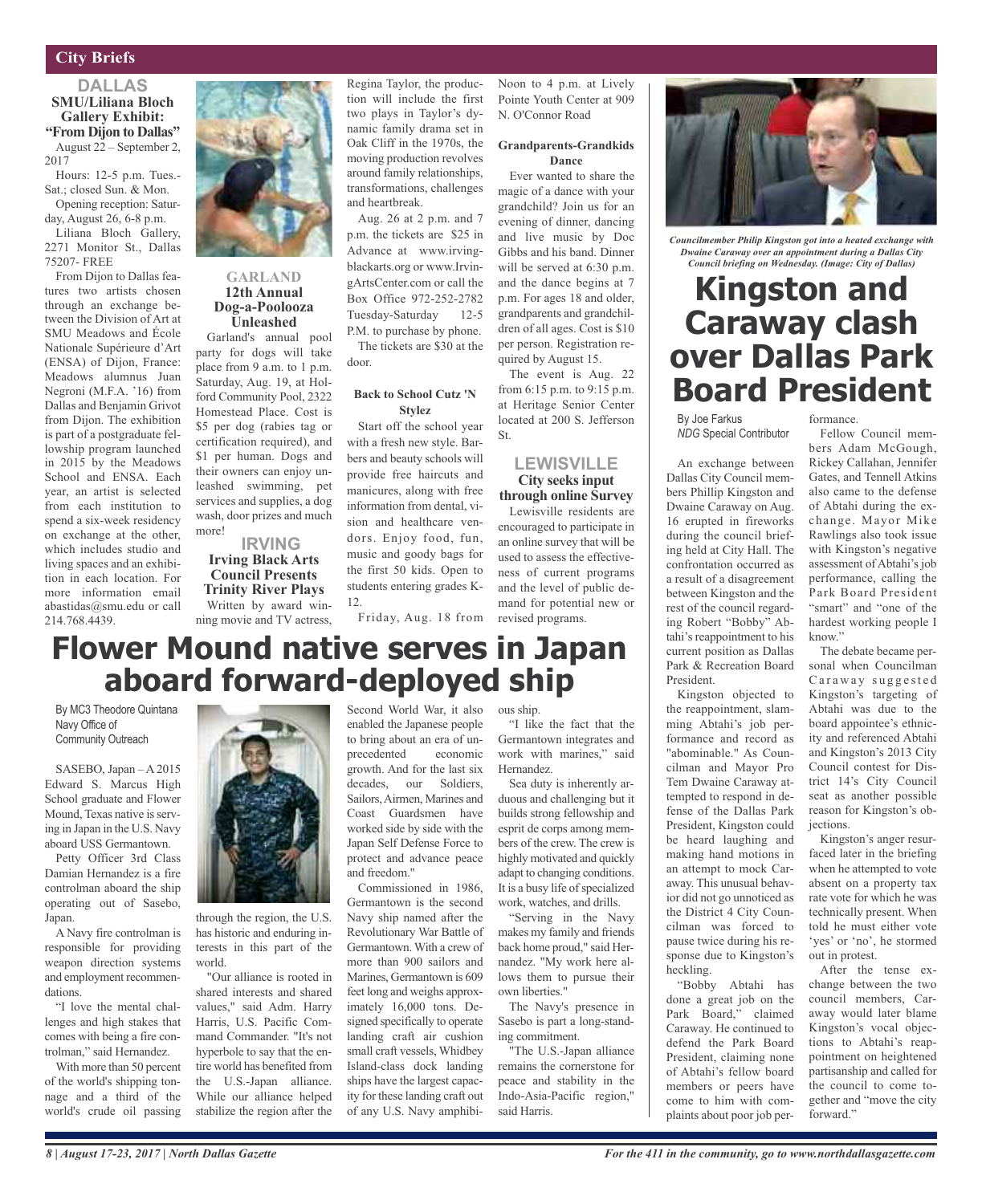### **City Briefs**

### **DALLAS SMU/Liliana Bloch Gallery Exhibit: "From Dijon to Dallas"** August 22 – September 2,

2017 Hours: 12-5 p.m. Tues.-

Sat.; closed Sun. & Mon. Opening reception: Satur-

day, August 26, 6-8 p.m. Liliana Bloch Gallery,

2271 Monitor St., Dallas 75207- FREE

From Dijon to Dallas features two artists chosen through an exchange between the Division of Art at SMU Meadows and École Nationale Supérieure d'Art (ENSA) of Dijon, France: Meadows alumnus Juan Negroni (M.F.A. '16) from Dallas and Benjamin Grivot from Dijon. The exhibition is part of a postgraduate fellowship program launched in 2015 by the Meadows School and ENSA. Each year, an artist is selected from each institution to spend a six-week residency on exchange at the other, which includes studio and living spaces and an exhibition in each location. For more information email abastidas@smu.edu or call 214.768.4439.

By MC3 Theodore Quintana

SASEBO, Japan – A 2015 Edward S. Marcus High School graduate and Flower Mound, Texas native is serving in Japan in the U.S. Navy aboard USS Germantown. Petty Officer 3rd Class Damian Hernandez is a fire controlman aboard the ship operating out of Sasebo,

A Navy fire controlman is responsible for providing weapon direction systems and employment recommen-

"I love the mental challenges and high stakes that comes with being a fire controlman," said Hernandez. With more than 50 percent of the world's shipping tonnage and a third of the world's crude oil passing

Navy Office of Community Outreach

Japan.

dations.



### **GARLAND 12th Annual Dog-a-Poolooza Unleashed**

Garland's annual pool party for dogs will take place from 9 a.m. to 1 p.m. Saturday, Aug. 19, at Holford Community Pool, 2322 Homestead Place. Cost is \$5 per dog (rabies tag or certification required), and \$1 per human. Dogs and their owners can enjoy unleashed swimming, pet services and supplies, a dog wash, door prizes and much more!

### **IRVING Irving Black Arts Council Presents Trinity River Plays** Written by award win-

ning movie and TV actress, **Flower Mound native serves in Japan**

**aboard forward-deployed ship**

Regina Taylor, the production will include the first two plays in Taylor's dynamic family drama set in Oak Cliff in the 1970s, the moving production revolves around family relationships, transformations, challenges and heartbreak.

Aug. 26 at 2 p.m. and 7 p.m. the tickets are \$25 in Advance at www.irvingblackarts.org or www.IrvingArtsCenter.com or call the Box Office 972-252-2782 Tuesday-Saturday 12-5 P.M. to purchase by phone. The tickets are \$30 at the

door.

### **Back to School Cutz 'N Stylez**

Start off the school year with a fresh new style. Barbers and beauty schools will provide free haircuts and manicures, along with free information from dental, vision and healthcare vendors. Enjoy food, fun, music and goody bags for the first 50 kids. Open to students entering grades K-12.

Friday, Aug. 18 from

### Noon to 4 p.m. at Lively Pointe Youth Center at 909 N. O'Connor Road

#### **Grandparents-Grandkids Dance**

Ever wanted to share the magic of a dance with your grandchild? Join us for an evening of dinner, dancing and live music by Doc Gibbs and his band. Dinner will be served at 6:30 p.m. and the dance begins at 7 p.m. For ages 18 and older, grandparents and grandchildren of all ages. Cost is \$10 per person. Registration required by August 15.

The event is Aug. 22 from 6:15 p.m. to 9:15 p.m. at Heritage Senior Center located at 200 S. Jefferson St.

### **LEWISVILLE City seeks input through online Survey**

Lewisville residents are encouraged to participate in an online survey that will be used to assess the effectiveness of current programs and the level of public demand for potential new or revised programs.



*Councilmember Philip Kingston got into a heated exchange with Dwaine Caraway over an appointment during a Dallas City Council briefing on Wednesday. (Image: City of Dallas)*

## **Kingston and Caraway clash over Dallas Park Board President**

By Joe Farkus *NDG* Special Contributor

An exchange between Dallas City Council members Phillip Kingston and Dwaine Caraway on Aug. 16 erupted in fireworks during the council briefing held at City Hall. The confrontation occurred as a result of a disagreement between Kingston and the rest of the council regarding Robert "Bobby" Abtahi's reappointment to his current position as Dallas Park & Recreation Board President.

Kingston objected to the reappointment, slamming Abtahi's job performance and record as "abominable." As Councilman and Mayor Pro Tem Dwaine Caraway attempted to respond in defense of the Dallas Park President, Kingston could be heard laughing and making hand motions in an attempt to mock Caraway. This unusual behavior did not go unnoticed as the District 4 City Councilman was forced to pause twice during his response due to Kingston's heckling.

"Bobby Abtahi has done a great job on the Park Board," claimed Caraway. He continued to defend the Park Board President, claiming none of Abtahi's fellow board members or peers have come to him with complaints about poor job performance.

Fellow Council members Adam McGough, Rickey Callahan, Jennifer Gates, and Tennell Atkins also came to the defense of Abtahi during the exchange. Mayor Mike Rawlings also took issue with Kingston's negative assessment of Abtahi's job performance, calling the Park Board President "smart" and "one of the hardest working people I know."

The debate became personal when Councilman Caraway suggested Kingston's targeting of Abtahi was due to the board appointee's ethnicity and referenced Abtahi and Kingston's 2013 City Council contest for District 14's City Council seat as another possible reason for Kingston's obiections.

Kingston's anger resurfaced later in the briefing when he attempted to vote absent on a property tax rate vote for which he was technically present. When told he must either vote 'yes' or 'no', he stormed out in protest.

After the tense exchange between the two council members, Caraway would later blame Kingston's vocal objections to Abtahi's reappointment on heightened partisanship and called for the council to come together and "move the city forward."

through the region, the U.S. has historic and enduring interests in this part of the world.

"Our alliance is rooted in shared interests and shared values," said Adm. Harry Harris, U.S. Pacific Command Commander. "It's not hyperbole to say that the entire world has benefited from the U.S.-Japan alliance. While our alliance helped stabilize the region after the Second World War, it also enabled the Japanese people to bring about an era of unprecedented economic growth. And for the last six decades, our Soldiers, Sailors,Airmen, Marines and Coast Guardsmen have worked side by side with the Japan Self Defense Force to protect and advance peace and freedom."

Commissioned in 1986, Germantown is the second Navy ship named after the Revolutionary War Battle of Germantown. With a crew of more than 900 sailors and Marines, Germantown is 609 feet long and weighs approximately 16,000 tons. Designed specifically to operate landing craft air cushion small craft vessels, Whidbey Island-class dock landing ships have the largest capacity for these landing craft out of any U.S. Navy amphibi-

ous ship.

"I like the fact that the Germantown integrates and work with marines," said Hernandez.

Sea duty is inherently arduous and challenging but it builds strong fellowship and esprit de corps among members of the crew. The crew is highly motivated and quickly adapt to changing conditions. It is a busy life of specialized work, watches, and drills.

"Serving in the Navy makes my family and friends back home proud," said Hernandez. "My work here allows them to pursue their own liberties."

The Navy's presence in Sasebo is part a long-standing commitment.

"The U.S.-Japan alliance remains the cornerstone for peace and stability in the Indo-Asia-Pacific region," said Harris.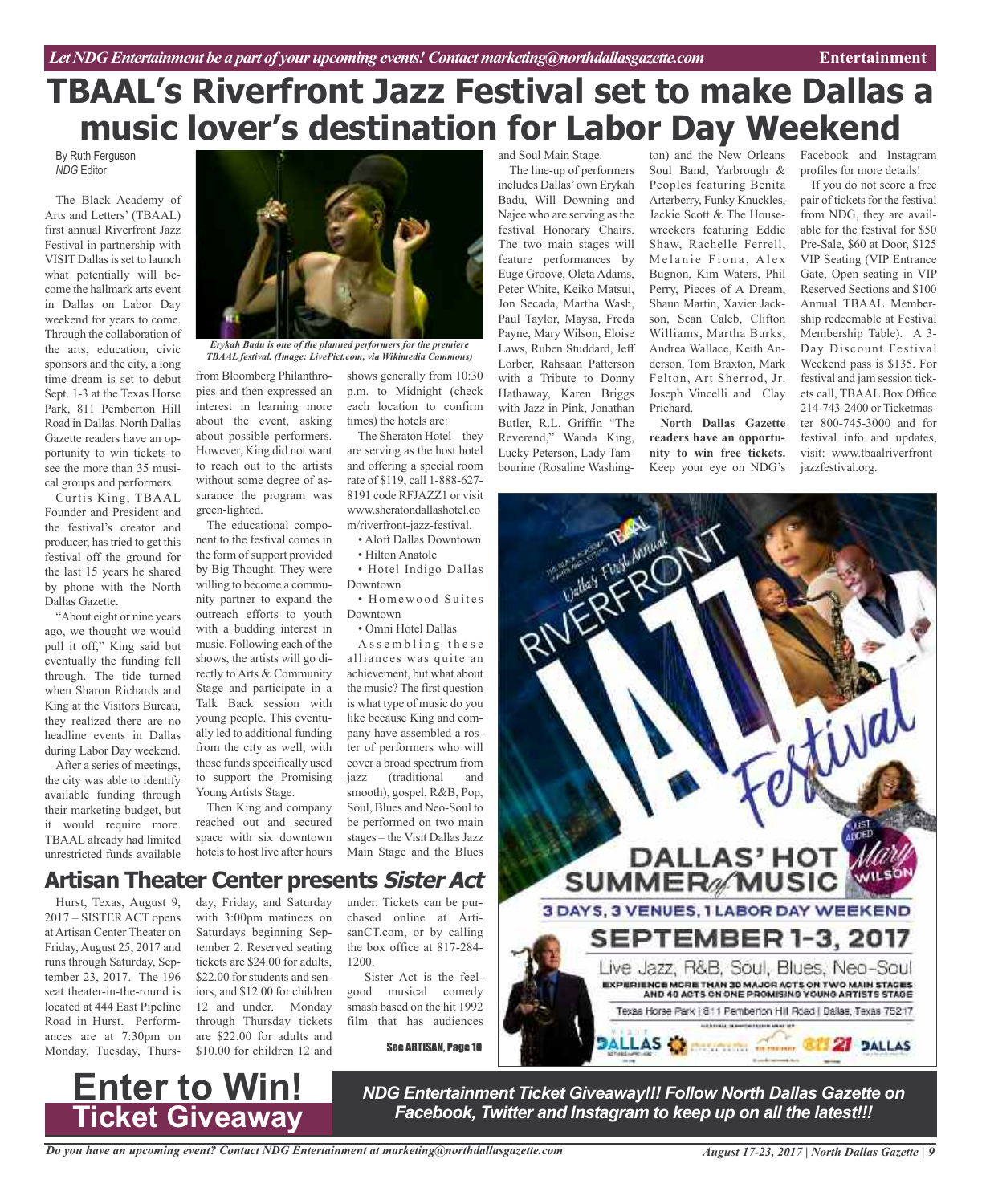# **TBAAL's Riverfront Jazz Festival set to make Dallas a music lover's destination for Labor Day Weekend**

By Ruth Ferguson *NDG* Editor

The Black Academy of Arts and Letters' (TBAAL) first annual Riverfront Jazz Festival in partnership with VISIT Dallas is set to launch what potentially will become the hallmark arts event in Dallas on Labor Day weekend for years to come. Through the collaboration of the arts, education, civic sponsors and the city, a long time dream is set to debut Sept. 1-3 at the Texas Horse Park, 811 Pemberton Hill Road in Dallas. North Dallas Gazette readers have an opportunity to win tickets to see the more than 35 musical groups and performers.

Curtis King, TBAAL Founder and President and the festival's creator and producer, hastried to get this festival off the ground for the last 15 years he shared by phone with the North Dallas Gazette.

"About eight or nine years ago, we thought we would pull it off," King said but eventually the funding fell through. The tide turned when Sharon Richards and King at the Visitors Bureau, they realized there are no headline events in Dallas during Labor Day weekend.

After a series of meetings, the city was able to identify available funding through their marketing budget, but it would require more. TBAAL already had limited unrestricted funds available



*Erykah Badu is one of the planned performers for the premiere TBAAL festival. (Image: LivePict.com, via Wikimedia Commons)*

from Bloomberg Philanthropies and then expressed an interest in learning more about the event, asking about possible performers. However, King did not want to reach out to the artists without some degree of assurance the program was green-lighted.

The educational component to the festival comes in the form of support provided by Big Thought. They were willing to become a community partner to expand the outreach efforts to youth with a budding interest in music. Following each of the shows, the artists will go directly to Arts & Community Stage and participate in a Talk Back session with young people. This eventually led to additional funding from the city as well, with those funds specifically used to support the Promising Young Artists Stage.

Then King and company reached out and secured space with six downtown hotels to host live after hours

shows generally from 10:30 p.m. to Midnight (check each location to confirm times) the hotels are:

The Sheraton Hotel – they are serving as the host hotel and offering a special room rate of \$119, call 1-888-627- 8191 code RFJAZZ1 or visit www.sheratondallashotel.co m/riverfront-jazz-festival.

• Aloft Dallas Downtown • Hilton Anatole

• Hotel Indigo Dallas

Downtown • Homewood Suites Downtown

• Omni Hotel Dallas

A s s e m b l i n g the s e alliances was quite an achievement, but what about the music? The first question is what type of music do you like because King and company have assembled a roster of performers who will cover a broad spectrum from jazz (traditional and smooth), gospel, R&B, Pop, Soul, Blues and Neo-Soul to be performed on two main stages – the Visit Dallas Jazz Main Stage and the Blues

and Soul Main Stage.

The line-up of performers includes Dallas'own Erykah Badu, Will Downing and Najee who are serving as the festival Honorary Chairs. The two main stages will feature performances by Euge Groove, Oleta Adams, Peter White, Keiko Matsui, Jon Secada, Martha Wash, Paul Taylor, Maysa, Freda Payne, Mary Wilson, Eloise Laws, Ruben Studdard, Jeff Lorber, Rahsaan Patterson with a Tribute to Donny Hathaway, Karen Briggs with Jazz in Pink, Jonathan Butler, R.L. Griffin "The Reverend," Wanda King, Lucky Peterson, Lady Tambourine (Rosaline Washing-

ton) and the New Orleans Facebook and Instagram Soul Band, Yarbrough & Peoples featuring Benita Arterberry, Funky Knuckles, Jackie Scott & The Housewreckers featuring Eddie Shaw, Rachelle Ferrell, Melanie Fiona, Alex Bugnon, Kim Waters, Phil Perry, Pieces of A Dream, Shaun Martin, Xavier Jackson, Sean Caleb, Clifton Williams, Martha Burks, Andrea Wallace, Keith Anderson, Tom Braxton, Mark Felton, Art Sherrod, Jr. Joseph Vincelli and Clay Prichard.

**North Dallas Gazette readers have an opportunity to win free tickets.** Keep your eye on NDG's

profiles for more details!

If you do not score a free pair of tickets for the festival from NDG, they are available for the festival for \$50 Pre-Sale, \$60 at Door, \$125 VIP Seating (VIP Entrance Gate, Open seating in VIP Reserved Sections and \$100 Annual TBAAL Membership redeemable at Festival Membership Table). A 3- Day Discount Festival Weekend pass is \$135. For festival and jam session tickets call, TBAAL Box Office 214-743-2400 or Ticketmaster 800-745-3000 and for festival info and updates, visit: www.tbaalriverfrontjazzfestival.org.



### **Artisan Theater Center presents Sister Act**

Hurst, Texas, August 9, 2017 – SISTER ACT opens at Artisan Center Theater on Friday, August 25, 2017 and runs through Saturday, September 23, 2017. The 196 seat theater-in-the-round is located at 444 East Pipeline Road in Hurst. Performances are at 7:30pm on Monday, Tuesday, Thurs-

**Enter to Win!**

**Ticket Giveaway**

day, Friday, and Saturday with 3:00pm matinees on Saturdays beginning September 2. Reserved seating tickets are \$24.00 for adults, \$22.00 for students and seniors, and \$12.00 for children 12 and under. Monday through Thursday tickets are \$22.00 for adults and \$10.00 for children 12 and

under. Tickets can be purchased online at ArtisanCT.com, or by calling the box office at 817-284- 1200.

Sister Act is the feelgood musical comedy smash based on the hit 1992 film that has audiences

See ARTISAN, Page 10

*NDG Entertainment Ticket Giveaway!!! Follow North Dallas Gazette on Facebook, Twitter and Instagram to keep up on all the latest!!!*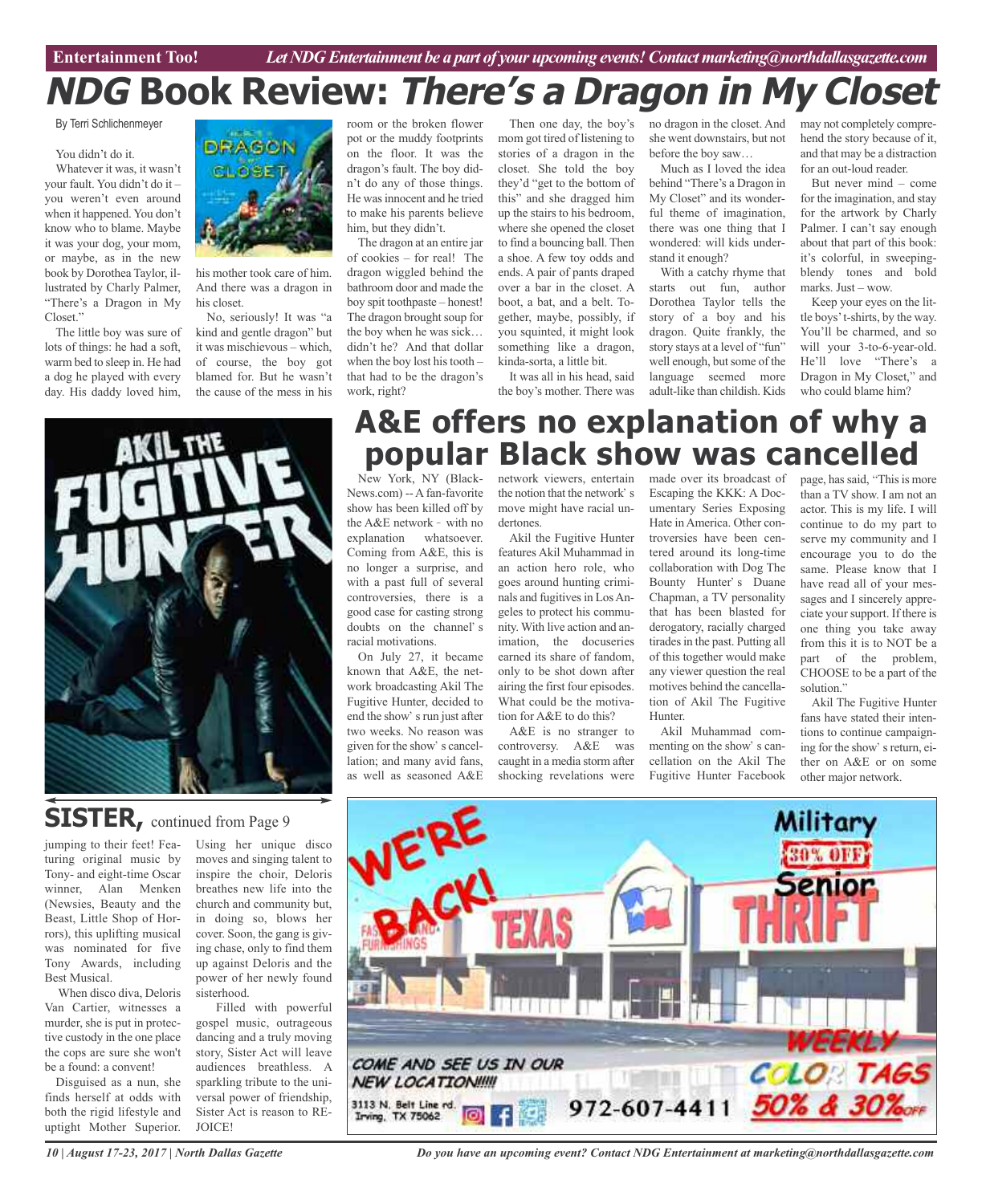**Car Review Entertainment Too!** *Let NDG Entertainment be a part of your upcoming events!Contactmarketing@northdallasgazette.com*

# **NDG Book Review: There's <sup>a</sup> Dragon in My Closet**

By Terri Schlichenmeyer

You didn't do it.

Whatever it was, it wasn't your fault. You didn't do it – you weren't even around when it happened. You don't know who to blame. Maybe it was your dog, your mom, or maybe, as in the new book by Dorothea Taylor, illustrated by Charly Palmer, "There's a Dragon in My Closet."

The little boy was sure of lots of things: he had a soft, warm bed to sleep in. He had a dog he played with every day. His daddy loved him,



his mother took care of him. And there was a dragon in his closet.

No, seriously! It was "a kind and gentle dragon" but it was mischievous – which, of course, the boy got blamed for. But he wasn't the cause of the mess in his



## **SISTER**, continued from Page 9

jumping to their feet! Featuring original music by Tony- and eight-time Oscar winner, Alan Menken (Newsies, Beauty and the Beast, Little Shop of Horrors), this uplifting musical was nominated for five Tony Awards, including Best Musical.

When disco diva, Deloris Van Cartier, witnesses a murder, she is put in protective custody in the one place the cops are sure she won't be a found: a convent!

Disguised as a nun, she finds herself at odds with both the rigid lifestyle and uptight Mother Superior.

Using her unique disco moves and singing talent to inspire the choir, Deloris breathes new life into the church and community but, in doing so, blows her cover. Soon, the gang is giving chase, only to find them up against Deloris and the power of her newly found sisterhood.

Filled with powerful gospel music, outrageous dancing and a truly moving story, Sister Act will leave audiences breathless. A sparkling tribute to the universal power of friendship, Sister Act is reason to RE-JOICE!

room or the broken flower pot or the muddy footprints on the floor. It was the dragon's fault. The boy didn't do any of those things. He wasinnocent and he tried to make his parents believe him, but they didn't.

The dragon at an entire jar of cookies – for real! The dragon wiggled behind the bathroom door and made the boy spit toothpaste – honest! The dragon brought soup for the boy when he was sick… didn't he? And that dollar when the boy lost his tooth – that had to be the dragon's work, right?

Then one day, the boy's mom got tired of listening to stories of a dragon in the closet. She told the boy they'd "get to the bottom of this" and she dragged him up the stairs to his bedroom, where she opened the closet to find a bouncing ball. Then a shoe. A few toy odds and ends. A pair of pants draped over a bar in the closet. A boot, a bat, and a belt. Together, maybe, possibly, if you squinted, it might look something like a dragon, kinda-sorta, a little bit.

It was all in his head, said the boy's mother. There was no dragon in the closet. And she went downstairs, but not before the boy saw…

Much as I loved the idea behind "There's a Dragon in My Closet" and its wonderful theme of imagination, there was one thing that I wondered: will kids understand it enough?

With a catchy rhyme that starts out fun, author Dorothea Taylor tells the story of a boy and his dragon. Quite frankly, the story stays at a level of "fun" well enough, but some of the language seemed more adult-like than childish. Kids may not completely comprehend the story because of it, and that may be a distraction for an out-loud reader.

But never mind – come for the imagination, and stay for the artwork by Charly Palmer. I can't say enough about that part of this book: it's colorful, in sweepingblendy tones and bold marks. Just – wow.

Keep your eyes on the little boys't-shirts, by the way. You'll be charmed, and so will your 3-to-6-year-old. He'll love "There's a Dragon in My Closet," and who could blame him?

## **A&E offers no explanation of why a popular Black show was cancelled**

New York, NY (Black-News.com) -- A fan-favorite show has been killed off by the  $A&E$  network - with no explanation whatsoever. Coming from A&E, this is no longer a surprise, and with a past full of several controversies, there is a good case for casting strong doubts on the channel's

racial motivations. On July 27, it became known that A&E, the network broadcasting Akil The Fugitive Hunter, decided to end the show' s run just after two weeks. No reason was given for the show's cancellation; and many avid fans as well as seasoned A&E

network viewers, entertain made over its broadcast of the notion that the network's move might have racial undertones.

Akil the Fugitive Hunter features Akil Muhammad in an action hero role, who goes around hunting criminals and fugitives in Los Angeles to protect his community. With live action and animation, the docuseries earned its share of fandom, only to be shot down after airing the first four episodes. What could be the motivation for A&E to do this?

A&E is no stranger to controversy. A&E was caught in a media storm after shocking revelations were

Escaping the KKK: A Documentary Series Exposing Hate in America. Other controversies have been centered around its long-time collaboration with Dog The Bounty Hunter's Duane Chapman, a TV personality that has been blasted for derogatory, racially charged tirades in the past. Putting all of this together would make any viewer question the real motives behind the cancellation of Akil The Fugitive Hunter.

Akil Muhammad commenting on the show's cancellation on the Akil The Fugitive Hunter Facebook

page, has said, "This is more than a TV show. I am not an actor. This is my life. I will continue to do my part to serve my community and I encourage you to do the same. Please know that I have read all of your messages and I sincerely appreciate your support. If there is one thing you take away from this it is to NOT be a part of the problem, CHOOSE to be a part of the solution."

Akil The Fugitive Hunter fans have stated their intentions to continue campaigning for the show' s return, either on A&E or on some other major network.



*10 | August 17-23, 2017 | North Dallas Gazette*

*Do you have an upcoming event? Contact NDG Entertainment at marketing@northdallasgazette.com*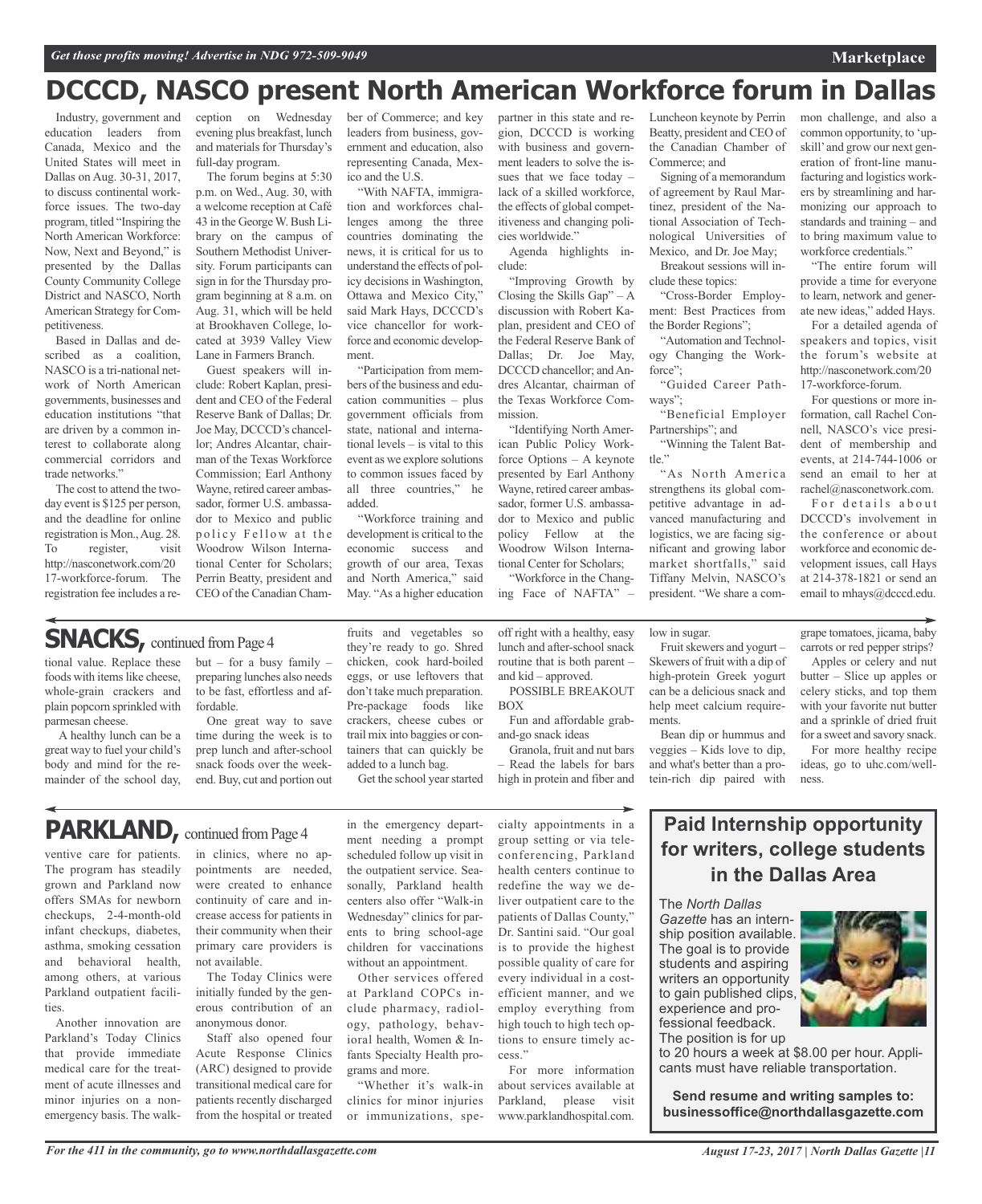# **DCCCD, NASCO present North American Workforce forum in Dallas**

Industry, government and education leaders from Canada, Mexico and the United States will meet in Dallas on Aug. 30-31, 2017, to discuss continental workforce issues. The two-day program, titled "Inspiring the North American Workforce: Now, Next and Beyond," is presented by the Dallas County Community College District and NASCO, North American Strategy for Competitiveness.

Based in Dallas and described as a coalition, NASCO is a tri-national network of North American governments, businesses and education institutions "that are driven by a common interest to collaborate along commercial corridors and trade networks."

The cost to attend the twoday event is \$125 per person, and the deadline for online registration is Mon.,Aug. 28. To register, visit http://nasconetwork.com/20 17-workforce-forum. The registration fee includes a re-

tional value. Replace these foods with items like cheese, whole-grain crackers and plain popcorn sprinkled with

A healthy lunch can be a great way to fuel your child's body and mind for the remainder of the school day,

parmesan cheese.

ception on Wednesday evening plus breakfast, lunch and materials for Thursday's full-day program.

The forum begins at 5:30 p.m. on Wed., Aug. 30, with a welcome reception at Café 43 in the GeorgeW. Bush Library on the campus of Southern Methodist University. Forum participants can sign in for the Thursday program beginning at 8 a.m. on Aug. 31, which will be held at Brookhaven College, located at 3939 Valley View Lane in Farmers Branch.

Guest speakers will include: Robert Kaplan, president and CEO of the Federal Reserve Bank of Dallas; Dr. Joe May, DCCCD's chancellor; Andres Alcantar, chairman of the Texas Workforce Commission; Earl Anthony Wayne, retired career ambassador, former U.S. ambassador to Mexico and public policy Fellow at the Woodrow Wilson International Center for Scholars; Perrin Beatty, president and CEO of the Canadian Cham-

but – for a busy family – preparing lunches also needs to be fast, effortless and af-

One great way to save time during the week is to prep lunch and after-school snack foods over the weekend. Buy, cut and portion out

fordable.

ber of Commerce; and key leaders from business, government and education, also representing Canada, Mexico and the U.S.

"With NAFTA, immigration and workforces challenges among the three countries dominating the news, it is critical for us to understand the effects of policy decisions in Washington, Ottawa and Mexico City," said Mark Hays, DCCCD's vice chancellor for workforce and economic development.

"Participation from members of the business and education communities – plus government officials from state, national and international levels – is vital to this event as we explore solutions to common issues faced by all three countries," he added.

"Workforce training and development is critical to the economic success and growth of our area, Texas and North America," said May. "As a higher education

fruits and vegetables so they're ready to go. Shred chicken, cook hard-boiled eggs, or use leftovers that don't take much preparation. Pre-package foods like crackers, cheese cubes or trail mix into baggies or containers that can quickly be added to a lunch bag.

partner in this state and region, DCCCD is working with business and government leaders to solve the issues that we face today – lack of a skilled workforce, the effects of global competitiveness and changing policies worldwide."

Agenda highlights include:

"Improving Growth by Closing the Skills Gap"  $-A$ discussion with Robert Kaplan, president and CEO of the Federal Reserve Bank of Dallas; Dr. Joe May, DCCCD chancellor; and Andres Alcantar, chairman of the Texas Workforce Commission.

"Identifying North American Public Policy Workforce Options – A keynote presented by Earl Anthony Wayne, retired career ambassador, former U.S. ambassador to Mexico and public policy Fellow at the Woodrow Wilson International Center for Scholars;

"Workforce in the Changing Face of NAFTA" –

lunch and after-school snack routine that is both parent –

POSSIBLE BREAKOUT

Fun and affordable grab-

Granola, fruit and nut bars – Read the labels for bars high in protein and fiber and

and kid – approved.

and-go snack ideas

BOX

Luncheon keynote by Perrin Beatty, president and CEO of the Canadian Chamber of Commerce; and

Signing of a memorandum of agreement by Raul Martinez, president of the National Association of Technological Universities of Mexico, and Dr. Joe May;

Breakout sessions will include these topics:

"Cross-Border Employment: Best Practices from the Border Regions";

"Automation and Technology Changing the Workforce";

"Guided Career Pathways";

"Beneficial Employer Partnerships"; and

"Winning the Talent Bat $t \leq t$ 

"As North America strengthens its global competitive advantage in advanced manufacturing and logistics, we are facing significant and growing labor market shortfalls," said Tiffany Melvin, NASCO's president. "We share a comcommon opportunity, to 'upskill' and grow our next generation of front-line manufacturing and logistics workers by streamlining and harmonizing our approach to standards and training – and to bring maximum value to workforce credentials."

mon challenge, and also a

"The entire forum will provide a time for everyone to learn, network and generate new ideas," added Hays.

For a detailed agenda of speakers and topics, visit the forum's website at http://nasconetwork.com/20 17-workforce-forum.

For questions or more information, call Rachel Connell, NASCO's vice president of membership and events, at 214-744-1006 or send an email to her at rachel@nasconetwork.com. For details about DCCCD's involvement in the conference or about workforce and economic development issues, call Hays at 214-378-1821 or send an

off right with a healthy, easy low in sugar.

> Fruit skewers and yogurt-Skewers of fruit with a dip of high-protein Greek yogurt can be a delicious snack and help meet calcium requirements.

Bean dip or hummus and veggies – Kids love to dip, and what's better than a protein-rich dip paired with

grape tomatoes, jicama, baby carrots or red pepper strips?

email to mhays@dcccd.edu.

Apples or celery and nut butter – Slice up apples or celery sticks, and top them with your favorite nut butter and a sprinkle of dried fruit for a sweet and savory snack.

For more healthy recipe ideas, go to uhc.com/wellness.

### PARKLAND, continued from Page 4

**SNACKS**, continued from Page 4

ventive care for patients. The program has steadily grown and Parkland now offers SMAs for newborn checkups, 2-4-month-old infant checkups, diabetes, asthma, smoking cessation and behavioral health, among others, at various Parkland outpatient facilities.

Another innovation are Parkland's Today Clinics that provide immediate medical care for the treatment of acute illnesses and minor injuries on a nonemergency basis. The walk-

in clinics, where no appointments are needed, were created to enhance continuity of care and increase access for patients in their community when their primary care providers is not available.

The Today Clinics were initially funded by the generous contribution of an anonymous donor.

Staff also opened four Acute Response Clinics (ARC) designed to provide transitional medical care for patients recently discharged from the hospital or treated in the emergency department needing a prompt scheduled follow up visit in the outpatient service. Seasonally, Parkland health centers also offer "Walk-in Wednesday" clinics for parents to bring school-age children for vaccinations without an appointment.

Get the school year started

Other services offered at Parkland COPCs include pharmacy, radiology, pathology, behavioral health, Women & Infants Specialty Health programs and more.

"Whether it's walk-in clinics for minor injuries or immunizations, specialty appointments in a group setting or via teleconferencing, Parkland health centers continue to redefine the way we deliver outpatient care to the patients of Dallas County," Dr. Santini said. "Our goal is to provide the highest possible quality of care for every individual in a costefficient manner, and we employ everything from high touch to high tech options to ensure timely access."

For more information about services available at Parkland, please visit www.parklandhospital.com.

**Paid Internship opportunity for writers, college students in the Dallas Area**

The *North Dallas*

*Gazette* has an internship position available. The goal is to provide students and aspiring writers an opportunity to gain published clips, experience and professional feedback. The position is for up

to 20 hours a week at \$8.00 per hour. Applicants must have reliable transportation.

**Send resume and writing samples to: businessoffice@northdallasgazette.com**

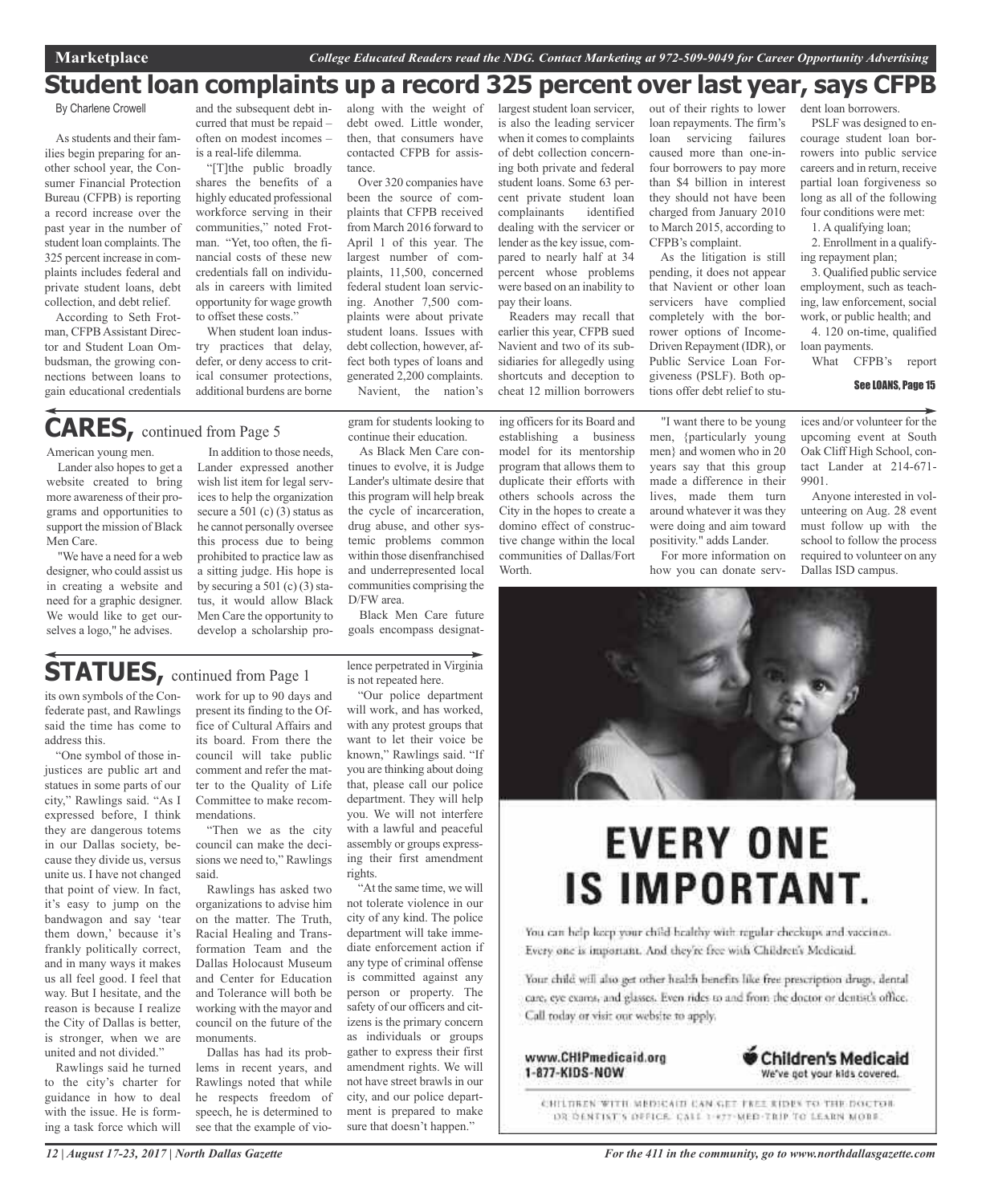### **Student loan complaints up a record 325 percent over last year, says CFPB**

By Charlene Crowell

Asstudents and their families begin preparing for another school year, the Consumer Financial Protection Bureau (CFPB) is reporting a record increase over the past year in the number of student loan complaints. The 325 percent increase in complaints includes federal and private student loans, debt collection, and debt relief.

According to Seth Frotman, CFPBAssistant Director and Student Loan Ombudsman, the growing connections between loans to gain educational credentials

American young men. Lander also hopes to get a website created to bring more awareness of their programs and opportunities to support the mission of Black

Men Care.

and the subsequent debt incurred that must be repaid – often on modest incomes – is a real-life dilemma.

"[T]the public broadly shares the benefits of a highly educated professional workforce serving in their communities," noted Frotman. "Yet, too often, the financial costs of these new credentials fall on individuals in careers with limited opportunity for wage growth to offset these costs."

When student loan industry practices that delay, defer, or deny access to critical consumer protections, additional burdens are borne

# **CARES,** continued from Page <sup>5</sup>

along with the weight of debt owed. Little wonder, then, that consumers have contacted CFPB for assistance.

Over 320 companies have been the source of complaints that CFPB received from March 2016 forward to April 1 of this year. The largest number of complaints, 11,500, concerned federal student loan servicing. Another 7,500 complaints were about private student loans. Issues with debt collection, however, affect both types of loans and generated 2,200 complaints. Navient, the nation's

gram for students looking to continue their education. As Black Men Care continues to evolve, it is Judge Lander's ultimate desire that this program will help break the cycle of incarceration, drug abuse, and other systemic problems common within those disenfranchised and underrepresented local communities comprising the

is also the leading servicer when it comes to complaints of debt collection concerning both private and federal student loans. Some 63 percent private student loan complainants identified dealing with the servicer or lender as the key issue, compared to nearly half at 34 percent whose problems were based on an inability to pay their loans.

largest student loan servicer,

Readers may recall that earlier this year, CFPB sued Navient and two of its subsidiaries for allegedly using shortcuts and deception to cheat 12 million borrowers

ing officers for its Board and establishing a business model for its mentorship program that allows them to duplicate their efforts with others schools across the City in the hopes to create a domino effect of constructive change within the local communities of Dallas/Fort **Worth** 

out of their rights to lower loan repayments. The firm's loan servicing failures caused more than one-infour borrowers to pay more than \$4 billion in interest they should not have been charged from January 2010 to March 2015, according to CFPB's complaint.

As the litigation is still pending, it does not appear that Navient or other loan servicers have complied completely with the borrower options of Income-Driven Repayment (IDR), or Public Service Loan Forgiveness (PSLF). Both options offer debt relief to stu-

"I want there to be young men, {particularly young men} and women who in 20 years say that this group made a difference in their lives made them turn around whatever it was they were doing and aim toward positivity." adds Lander. For more information on how you can donate servdent loan borrowers. PSLF was designed to encourage student loan borrowers into public service careers and in return, receive partial loan forgiveness so long as all of the following four conditions were met:

1. A qualifying loan;

2. Enrollment in a qualifying repayment plan;

3. Qualified public service employment, such as teaching, law enforcement, social work, or public health; and 4. 120 on-time, qualified

loan payments. What CFPB's report

#### See LOANS, Page 15

ices and/or volunteer for the upcoming event at South Oak Cliff High School, contact Lander at 214-671- 9901.

Anyone interested in volunteering on Aug. 28 event must follow up with the school to follow the process required to volunteer on any Dallas ISD campus.

In addition to those needs, Lander expressed another wish list item for legal services to help the organization secure a 501 (c) (3) status as he cannot personally oversee this process due to being prohibited to practice law as a sitting judge. His hope is by securing a 501 (c)  $(3)$  status, it would allow Black Men Care the opportunity to develop a scholarship pro-

## **STATUES,** continued from Page <sup>1</sup>

"We have a need for a web designer, who could assist us in creating a website and need for a graphic designer. We would like to get ourselves a logo," he advises.

its own symbols of the Confederate past, and Rawlings said the time has come to address this.

"One symbol of those injustices are public art and statues in some parts of our city," Rawlings said. "As I expressed before, I think they are dangerous totems in our Dallas society, because they divide us, versus unite us. I have not changed that point of view. In fact, it's easy to jump on the bandwagon and say 'tear them down,' because it's frankly politically correct, and in many ways it makes us all feel good. I feel that way. But I hesitate, and the reason is because I realize the City of Dallas is better, is stronger, when we are united and not divided."

Rawlings said he turned to the city's charter for guidance in how to deal with the issue. He is forming a task force which will

work for up to 90 days and present its finding to the Office of Cultural Affairs and its board. From there the council will take public comment and refer the matter to the Quality of Life Committee to make recommendations.

"Then we as the city council can make the decisions we need to," Rawlings said.

Rawlings has asked two organizations to advise him on the matter. The Truth, Racial Healing and Transformation Team and the Dallas Holocaust Museum and Center for Education and Tolerance will both be working with the mayor and council on the future of the monuments.

Dallas has had its problems in recent years, and Rawlings noted that while he respects freedom of speech, he is determined to see that the example of violence perpetrated in Virginia is not repeated here.

Black Men Care future goals encompass designat-

D/FW area.

"Our police department will work, and has worked, with any protest groups that want to let their voice be known," Rawlings said. "If you are thinking about doing that, please call our police department. They will help you. We will not interfere with a lawful and peaceful assembly or groups expressing their first amendment rights.

"At the same time, we will not tolerate violence in our city of any kind. The police department will take immediate enforcement action if any type of criminal offense is committed against any person or property. The safety of our officers and citizens is the primary concern as individuals or groups gather to express their first amendment rights. We will not have street brawls in our city, and our police department is prepared to make sure that doesn't happen."



# **EVERY ONE IS IMPORTANT.**

You can help keep your child healthy with regular checkups and vaccines. Every one is important. And they're free with Children's Medicaid.

Your child will also get other health benefits like free prescription drugs, dental care, eye exams, and glasses. Even rides to and from the doctor or dentist's office. Call today or visit our website to apply.

www.CHIPmedicaid.org 1-877-KIDS-NOW



CHILDREN WITH MEDICAIN CAN GET FREE RIDES TO THE DOCTOR DR DENTIST'S OFFICE. CALL 1-877-MED-TRIP TO LEARN MOBE.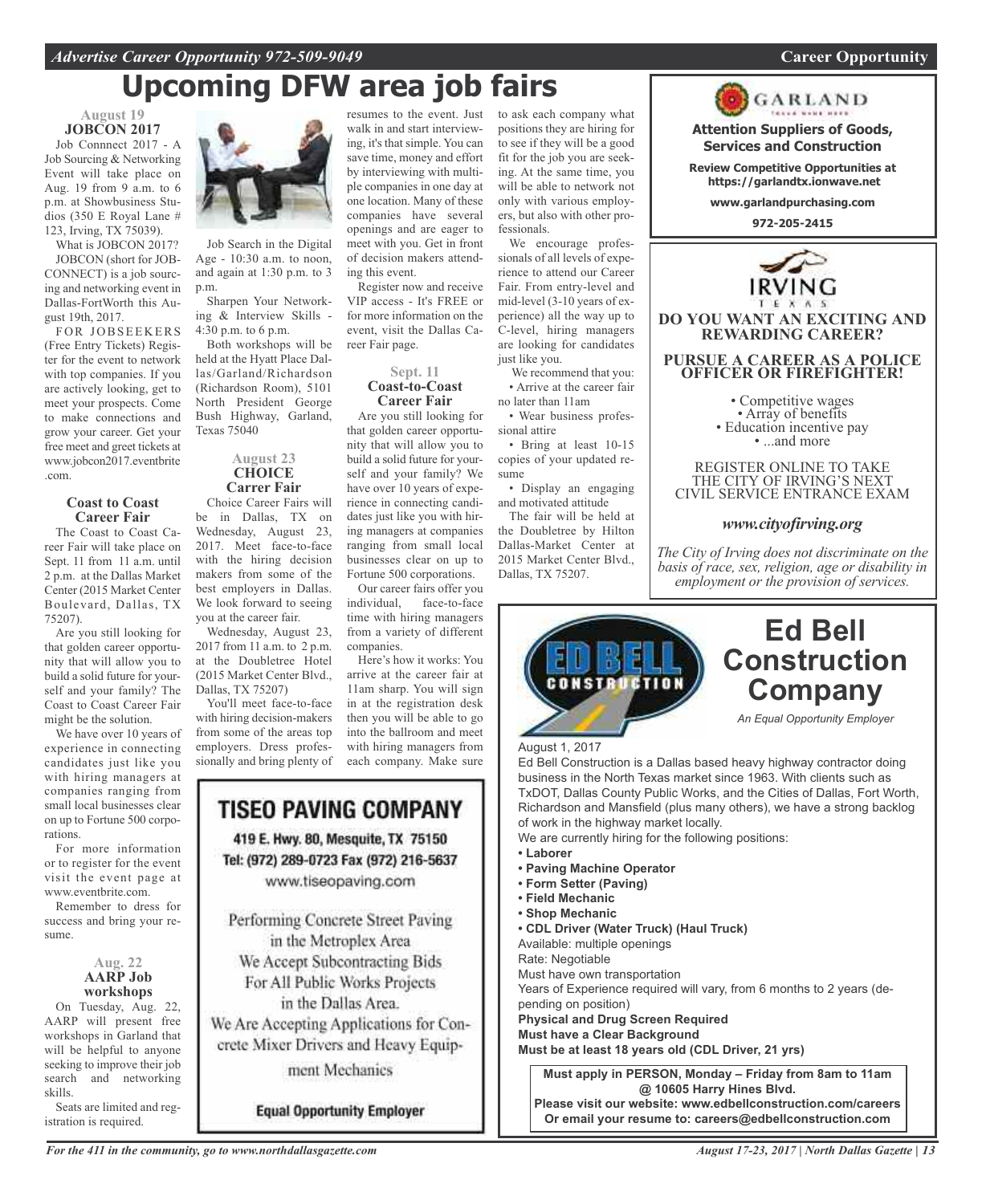### *Advertise Career Opportunity 972-509-9049* **Career Opportunity**

# **Upcoming DFW area job fairs**

**August 19 JOBCON 2017** Job Connnect 2017 - A Job Sourcing & Networking Event will take place on

Aug. 19 from 9 a.m. to 6 p.m. at Showbusiness Studios (350 E Royal Lane # 123, Irving, TX 75039).

What is JOBCON 2017? JOBCON (short for JOB-CONNECT) is a job sourcing and networking event in Dallas-FortWorth this August 19th, 2017.

FOR JOBSEEKERS (Free Entry Tickets) Register for the event to network with top companies. If you are actively looking, get to meet your prospects. Come to make connections and grow your career. Get your free meet and greet tickets at www.jobcon2017.eventbrite .com.

#### **Coast to Coast Career Fair**

The Coast to Coast Career Fair will take place on Sept. 11 from 11 a.m. until 2 p.m. at the Dallas Market Center (2015 Market Center Boulevard, Dallas, TX 75207).

Are you still looking for that golden career opportunity that will allow you to build a solid future for yourself and your family? The Coast to Coast Career Fair might be the solution.

We have over 10 years of experience in connecting candidates just like you with hiring managers at companies ranging from small local businesses clear on up to Fortune 500 corporations.

For more information or to register for the event visit the event page at www.eventbrite.com.

Remember to dress for success and bring your resume.

### **Aug. 22 AARP Job workshops**

On Tuesday, Aug. 22, AARP will present free workshops in Garland that will be helpful to anyone seeking to improve their job search and networking skills.

Seats are limited and registration is required.



Job Search in the Digital Age - 10:30 a.m. to noon, and again at 1:30 p.m. to 3 p.m.

Sharpen Your Networking & Interview Skills - 4:30 p.m. to 6 p.m.

Both workshops will be held at the Hyatt Place Dallas/Garland/Richardson (Richardson Room), 5101 North President George Bush Highway, Garland, Texas 75040

#### **August 23 CHOICE Carrer Fair**

Choice Career Fairs will be in Dallas, TX on Wednesday, August 23, 2017. Meet face-to-face with the hiring decision makers from some of the best employers in Dallas. We look forward to seeing you at the career fair.

Wednesday, August 23, 2017 from 11 a.m. to 2 p.m. at the Doubletree Hotel (2015 Market Center Blvd., Dallas, TX 75207)

You'll meet face-to-face with hiring decision-makers from some of the areas top employers. Dress professionally and bring plenty of



**Equal Opportunity Employer** 

resumes to the event. Just walk in and start interviewing, it's that simple. You can save time, money and effort by interviewing with multiple companies in one day at one location. Many of these companies have several openings and are eager to meet with you. Get in front of decision makers attending this event.

Register now and receive VIP access - It's FREE or for more information on the event, visit the Dallas Career Fair page.

### **Sept. 11 Coast-to-Coast Career Fair**

Are you still looking for that golden career opportunity that will allow you to build a solid future for yourself and your family? We have over 10 years of experience in connecting candidates just like you with hiring managers at companies ranging from small local businesses clear on up to Fortune 500 corporations.

Our career fairs offer you<br>individual, face-to-face face-to-face time with hiring managers from a variety of different companies.

Here's how it works: You arrive at the career fair at 11am sharp. You will sign in at the registration desk then you will be able to go into the ballroom and meet with hiring managers from each company. Make sure

to ask each company what positions they are hiring for to see if they will be a good fit for the job you are seeking. At the same time, you will be able to network not only with various employers, but also with other professionals.

We encourage professionals of all levels of experience to attend our Career Fair. From entry-level and mid-level (3-10 years of experience) all the way up to C-level, hiring managers are looking for candidates just like you.

We recommend that you: • Arrive at the career fair no later than 11am

• Wear business professional attire

• Bring at least 10-15 copies of your updated resume

• Display an engaging and motivated attitude

The fair will be held at the Doubletree by Hilton Dallas-Market Center at 2015 Market Center Blvd., Dallas, TX 75207.



**Attention Suppliers of Goods, Services and Construction**

**Review Competitive Opportunities at https://garlandtx.ionwave.net**

**www.garlandpurchasing.com**

**972-205-2415**



**DO YOU WANT AN EXCITING AND REWARDING CAREER?**

### **PURSUE A CAREER AS A POLICE OFFICER OR FIREFIGHTER!**

• Competitive wages<br>• Array of benefits<br>• Education incentive pay<br>• ...and more

REGISTER ONLINE TO TAKE THE CITY OF IRVING'S NEXT CIVIL SERVICE ENTRANCE EXAM

### *www.cityofirving.org*

*The City of Irving does not discriminate on the basis of race, sex, religion, age or disability in employment or the provision of services.*



### **Ed Bell Construction Company**

*An Equal Opportunity Employer*

August 1, 2017

Ed Bell Construction is a Dallas based heavy highway contractor doing business in the North Texas market since 1963. With clients such as TxDOT, Dallas County Public Works, and the Cities of Dallas, Fort Worth, Richardson and Mansfield (plus many others), we have a strong backlog of work in the highway market locally.

We are currently hiring for the following positions:

- **• Laborer**
- **• Paving Machine Operator**
- **• Form Setter (Paving)**
- **• Field Mechanic**
- **• Shop Mechanic**

**• CDL Driver (Water Truck) (Haul Truck)**

Available: multiple openings Rate: Negotiable

Must have own transportation

Years of Experience required will vary, from 6 months to 2 years (de-

pending on position)

**Physical and Drug Screen Required**

**Must have a Clear Background**

**Must be at least 18 years old (CDL Driver, 21 yrs)**

**Must apply in PERSON, Monday – Friday from 8am to 11am @ 10605 Harry Hines Blvd. Please visit our website: www.edbellconstruction.com/careers Or email your resume to: careers@edbellconstruction.com**

*For the 411 in the community, go to www.northdallasgazette.com*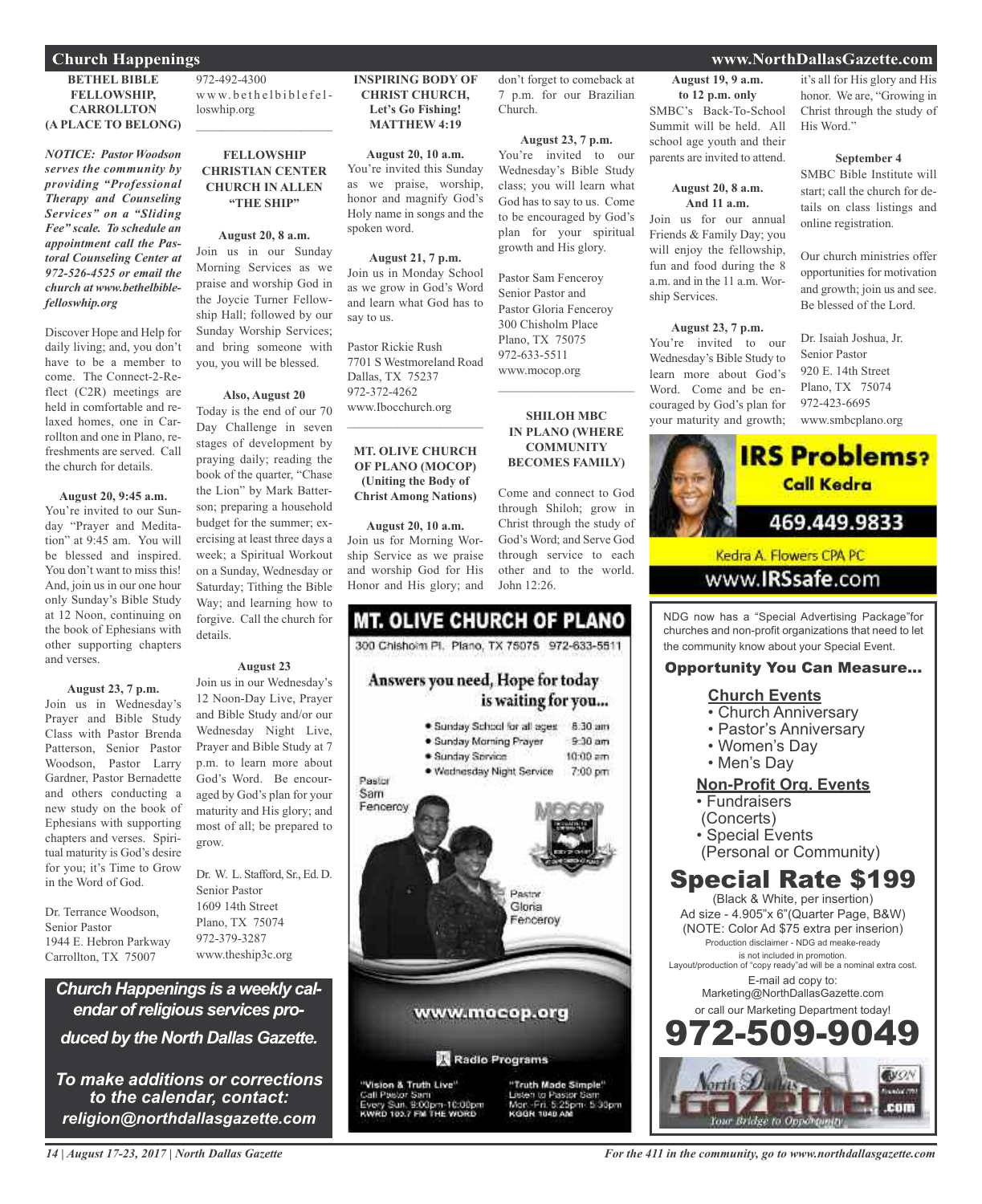### **BETHEL BIBLE FELLOWSHIP, CARROLLTON (A PLACE TO BELONG)**

*NOTICE: Pastor Woodson serves the community by providing "Professional Therapy and Counseling Services" on a "Sliding Fee" scale. To schedule an appointment call the Pastoral Counseling Center at 972-526-4525 or email the church at www.bethelbiblefelloswhip.org*

Discover Hope and Help for daily living; and, you don't have to be a member to come. The Connect-2-Reflect (C2R) meetings are held in comfortable and relaxed homes, one in Carrollton and one in Plano, refreshments are served. Call the church for details.

#### **August 20, 9:45 a.m.**

You're invited to our Sunday "Prayer and Meditation" at 9:45 am. You will be blessed and inspired. You don't want to miss this! And, join us in our one hour only Sunday's Bible Study at 12 Noon, continuing on the book of Ephesians with other supporting chapters and verses.

### **August 23, 7 p.m.**

Join us in Wednesday's Prayer and Bible Study Class with Pastor Brenda Patterson, Senior Pastor Woodson, Pastor Larry Gardner, Pastor Bernadette and others conducting a new study on the book of Ephesians with supporting chapters and verses. Spiritual maturity is God's desire for you; it's Time to Grow in the Word of God.

Dr. Terrance Woodson, Senior Pastor 1944 E. Hebron Parkway Carrollton, TX 75007

972-492-4300 www.bethelbiblefelloswhip.org  $\mathcal{L}_\text{max}$  , which is a set of the set of the set of the set of the set of the set of the set of the set of the set of the set of the set of the set of the set of the set of the set of the set of the set of the set of

### **FELLOWSHIP CHRISTIAN CENTER CHURCH IN ALLEN "THE SHIP"**

### **August 20, 8 a.m.**

Join us in our Sunday Morning Services as we praise and worship God in the Joycie Turner Fellowship Hall; followed by our Sunday Worship Services; and bring someone with you, you will be blessed.

### **Also, August 20**

Today is the end of our 70 Day Challenge in seven stages of development by praying daily; reading the book of the quarter, "Chase the Lion" by Mark Batterson; preparing a household budget for the summer; exercising at least three days a week; a Spiritual Workout on a Sunday, Wednesday or Saturday; Tithing the Bible Way; and learning how to forgive. Call the church for details.

#### **August 23**

Join us in our Wednesday's 12 Noon-Day Live, Prayer and Bible Study and/or our Wednesday Night Live, Prayer and Bible Study at 7 p.m. to learn more about God's Word. Be encouraged by God's plan for your maturity and His glory; and most of all; be prepared to grow.

Dr. W. L. Stafford, Sr., Ed. D. Senior Pastor 1609 14th Street Plano, TX 75074 972-379-3287 www.theship3c.org

*Church Happenings is a weekly calendar ofreligious services produced by the North Dallas Gazette.*

*To make additions or corrections to the calendar, contact: religion@northdallasgazette.com*

### **INSPIRING BODY OF CHRIST CHURCH, Let's Go Fishing! MATTHEW 4:19**

**August 20, 10 a.m.** You're invited this Sunday as we praise, worship, honor and magnify God's Holy name in songs and the spoken word.

**August 21, 7 p.m.** Join us in Monday School as we grow in God's Word and learn what God has to say to us.

Pastor Rickie Rush 7701 S Westmoreland Road Dallas, TX 75237 972-372-4262 www.Ibocchurch.org

### **MT. OLIVE CHURCH OF PLANO (MOCOP) (Uniting the Body of Christ Among Nations)**

 $\mathcal{L}=\mathcal{L}^{\mathcal{L}}$  , where  $\mathcal{L}^{\mathcal{L}}$  , we have the set of the set of the set of the set of the set of the set of the set of the set of the set of the set of the set of the set of the set of the set of the set of

#### **August 20, 10 a.m.**

Join us for Morning Worship Service as we praise and worship God for His Honor and His glory; and

### **MT. OLIVE CHURCH OF PLANO** 300 Chishoim Pt. Plano, TX 75075 972-633-5511 Answers you need, Hope for today is waiting for you... · Sunday School for all ages 8:30 am · Sunday Morning Prayer  $9-30$  am · Sunday Service  $10:00$  am · Wednesday Night Service 7:00 pm Pastor Sam Fenceroy Pastor Gloria enceroy www.mocop.org Radio Programs "Truth Made Simple"

'Vision & Truth Live" Call Pastor Sam<br>Every Sun, 9:00pm-10:00pm<br>KWRD 103.7 FM THE WORD growth and His glory. Pastor Sam Fenceroy Senior Pastor and Pastor Gloria Fenceroy

don't forget to comeback at 7 p.m. for our Brazilian

**August 23, 7 p.m.** You're invited to our Wednesday's Bible Study class; you will learn what God has to say to us. Come to be encouraged by God's plan for your spiritual

Church.

300 Chisholm Place Plano, TX 75075 972-633-5511 www.mocop.org

### **SHILOH MBC IN PLANO (WHERE COMMUNITY BECOMES FAMILY)**

 $\overline{\phantom{a}}$  , and the set of the set of the set of the set of the set of the set of the set of the set of the set of the set of the set of the set of the set of the set of the set of the set of the set of the set of the s

Come and connect to God through Shiloh; grow in Christ through the study of God's Word; and Serve God through service to each other and to the world. John 12:26.

to Pastor S<br>in: 5:25pm

KODNE 1040 AB

5:30pm

**August 19, 9 a.m. to 12 p.m. only** SMBC's Back-To-School Summit will be held. All school age youth and their parents are invited to attend.

#### **August 20, 8 a.m. And 11 a.m.**

Join us for our annual Friends & Family Day; you will enjoy the fellowship, fun and food during the 8 a.m. and in the 11 a.m. Worship Services.

### **August 23, 7 p.m.**

You're invited to our Wednesday's Bible Study to learn more about God's Word. Come and be encouraged by God's plan for your maturity and growth;

it's all for His glory and His honor. We are, "Growing in Christ through the study of His Word."

#### **September 4**

SMBC Bible Institute will start; call the church for details on class listings and online registration.

Our church ministries offer opportunities for motivation and growth; join us and see. Be blessed of the Lord.

Dr. Isaiah Joshua, Jr. Senior Pastor 920 E. 14th Street Plano, TX 75074 972-423-6695 www.smbcplano.org



www.**IRSsafe**.com

NDG now has a "Special Advertising Package"for churches and non-profit organizations that need to let the community know about your Special Event.

### Opportunity You Can Measure...

### **Church Events**

- Church Anniversary
- Pastor's Anniversary
- Women's Day
- Men's Day

### **Non-Profit Org. Events**

- Fundraisers
- (Concerts)
- Special Events
	- (Personal or Community)

### Special Rate \$199

(Black & White, per insertion) Ad size - 4.905"x 6"(Quarter Page, B&W) (NOTE: Color Ad \$75 extra per inserion) Production disclaimer - NDG ad meake-ready is not included in promotion. Layout/production of "copy ready"ad will be a nominal extra cost. E-mail ad copy to: Marketing@NorthDallasGazette.com or call our Marketing Department today! -509-9



### **Church Happenings www.NorthDallasGazette.com**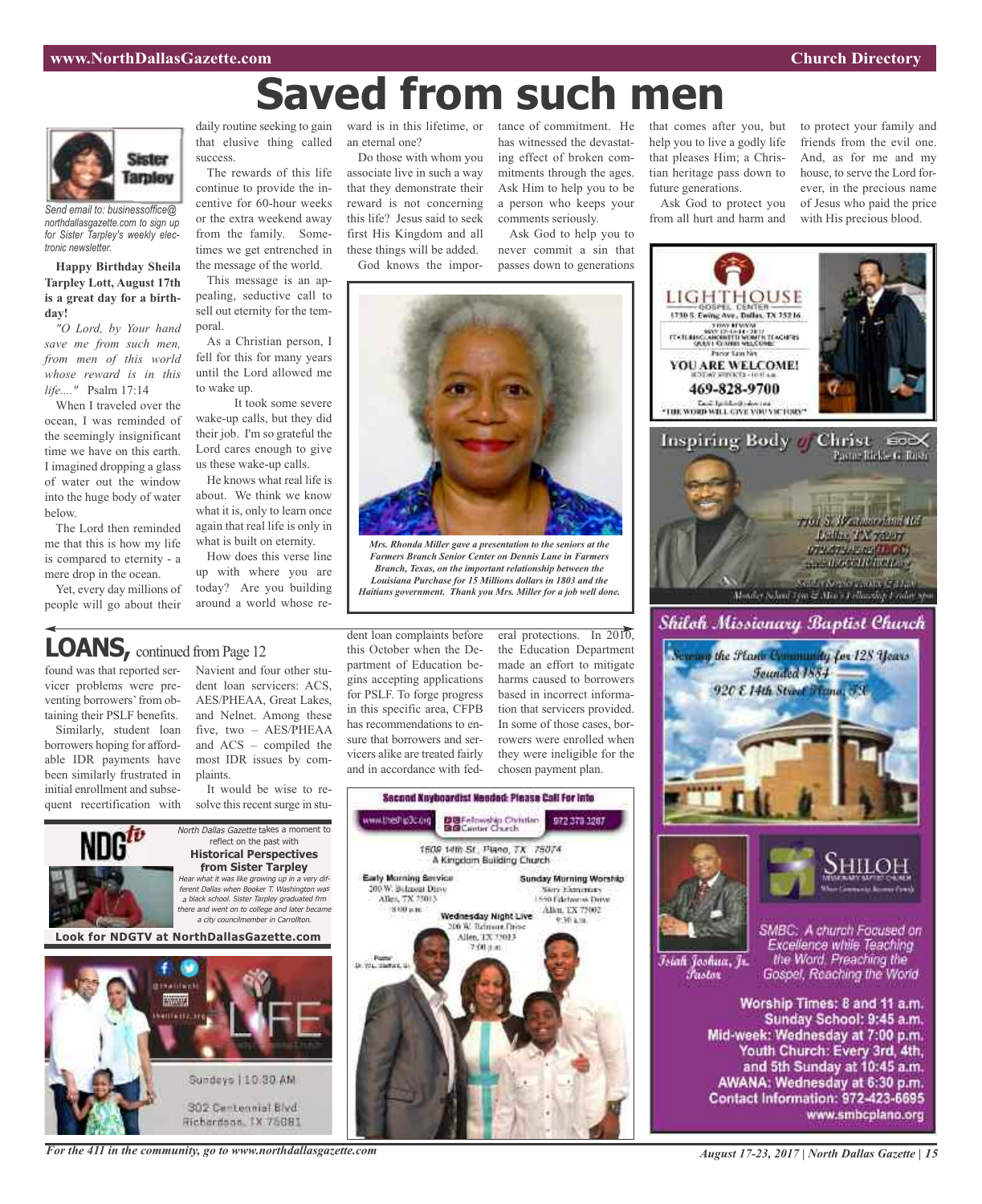# **Saved from such men**



*Send email to: businessoffice@ northdallasgazette.com to sign up for Sister Tarpley's weekly electronic newsletter.*

### **Happy Birthday Sheila Tarpley Lott, August 17th is a great day for a birthday!**

*"O Lord, by Your hand save me from such men, from men of this world whose reward is in this life...."* Psalm 17:14

When I traveled over the ocean, I was reminded of the seemingly insignificant time we have on this earth. I imagined dropping a glass of water out the window into the huge body of water below.

The Lord then reminded me that this is how my life is compared to eternity - a mere drop in the ocean.

Yet, every day millions of people will go about their

daily routine seeking to gain ward is in this lifetime, or that elusive thing called success.

The rewards of this life continue to provide the incentive for 60-hour weeks or the extra weekend away from the family. Sometimes we get entrenched in the message of the world.

This message is an appealing, seductive call to sell out eternity for the temporal.

As a Christian person, I fell for this for many years until the Lord allowed me to wake up.

It took some severe wake-up calls, but they did their job. I'm so grateful the Lord cares enough to give us these wake-up calls.

He knows what real life is about. We think we know what it is, only to learn once again that real life is only in what is built on eternity.

How does this verse line up with where you are today? Are you building around a world whose rean eternal one?

Do those with whom you associate live in such a way that they demonstrate their reward is not concerning this life? Jesus said to seek first His Kingdom and all these things will be added.

God knows the impor-

tance of commitment. He has witnessed the devastating effect of broken commitments through the ages. Ask Him to help you to be a person who keeps your comments seriously.

Ask God to help you to never commit a sin that passes down to generations



*Mrs. Rhonda Miller gave a presentation to the seniors at the Farmers Branch Senior Center on Dennis Lane in Farmers Branch, Texas, on the important relationship between the Louisiana Purchase for 15 Millions dollars in 1803 and the Haitians government. Thank you Mrs. Miller for a job well done.*

### **LOANS**, continued from Page 12

found was that reported servicer problems were preventing borrowers' from obtaining their PSLF benefits.

Similarly, student loan borrowers hoping for affordable IDR payments have been similarly frustrated in initial enrollment and subsequent recertification with Navient and four other student loan servicers: ACS, AES/PHEAA, Great Lakes, and Nelnet. Among these five, two – AES/PHEAA and ACS – compiled the most IDR issues by complaints.

It would be wise to resolve this recent surge in stu-



Hichardson, IX 75081

dent loan complaints before this October when the Department of Education begins accepting applications for PSLF. To forge progress in this specific area, CFPB has recommendations to ensure that borrowers and servicers alike are treated fairly and in accordance with fed-

eral protections. In 2010, the Education Department made an effort to mitigate harms caused to borrowers based in incorrect information that servicers provided. In some of those cases, borrowers were enrolled when they were ineligible for the chosen payment plan.





Ask God to protect you from all hurt and harm and to protect your family and friends from the evil one. And, as for me and my house, to serve the Lord forever, in the precious name of Jesus who paid the price with His precious blood.